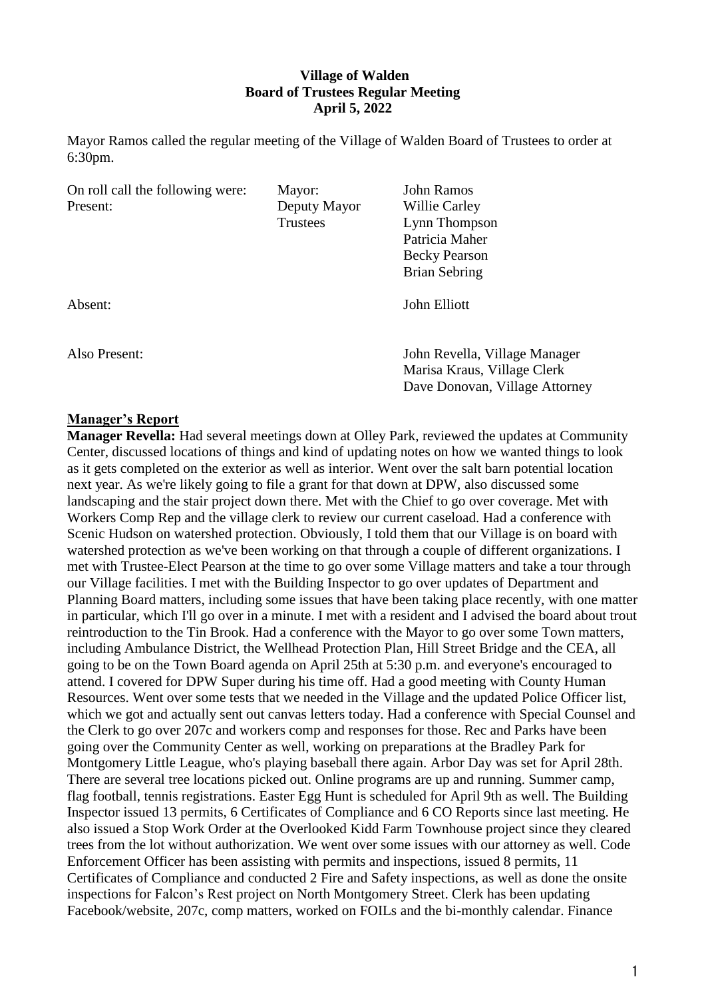## **Village of Walden Board of Trustees Regular Meeting April 5, 2022**

Mayor Ramos called the regular meeting of the Village of Walden Board of Trustees to order at 6:30pm.

| On roll call the following were: | Mayor:       | <b>John Ramos</b>                                             |
|----------------------------------|--------------|---------------------------------------------------------------|
| Present:                         | Deputy Mayor | Willie Carley                                                 |
|                                  | Trustees     | Lynn Thompson                                                 |
|                                  |              | Patricia Maher                                                |
|                                  |              | <b>Becky Pearson</b>                                          |
|                                  |              | Brian Sebring                                                 |
| Absent:                          |              | John Elliott                                                  |
| Also Present:                    |              | John Revella, Village Manager                                 |
|                                  |              | Marisa Kraus, Village Clerk<br>Dave Donovan, Village Attorney |
|                                  |              |                                                               |

#### **Manager's Report**

**Manager Revella:** Had several meetings down at Olley Park, reviewed the updates at Community Center, discussed locations of things and kind of updating notes on how we wanted things to look as it gets completed on the exterior as well as interior. Went over the salt barn potential location next year. As we're likely going to file a grant for that down at DPW, also discussed some landscaping and the stair project down there. Met with the Chief to go over coverage. Met with Workers Comp Rep and the village clerk to review our current caseload. Had a conference with Scenic Hudson on watershed protection. Obviously, I told them that our Village is on board with watershed protection as we've been working on that through a couple of different organizations. I met with Trustee-Elect Pearson at the time to go over some Village matters and take a tour through our Village facilities. I met with the Building Inspector to go over updates of Department and Planning Board matters, including some issues that have been taking place recently, with one matter in particular, which I'll go over in a minute. I met with a resident and I advised the board about trout reintroduction to the Tin Brook. Had a conference with the Mayor to go over some Town matters, including Ambulance District, the Wellhead Protection Plan, Hill Street Bridge and the CEA, all going to be on the Town Board agenda on April 25th at 5:30 p.m. and everyone's encouraged to attend. I covered for DPW Super during his time off. Had a good meeting with County Human Resources. Went over some tests that we needed in the Village and the updated Police Officer list, which we got and actually sent out canvas letters today. Had a conference with Special Counsel and the Clerk to go over 207c and workers comp and responses for those. Rec and Parks have been going over the Community Center as well, working on preparations at the Bradley Park for Montgomery Little League, who's playing baseball there again. Arbor Day was set for April 28th. There are several tree locations picked out. Online programs are up and running. Summer camp, flag football, tennis registrations. Easter Egg Hunt is scheduled for April 9th as well. The Building Inspector issued 13 permits, 6 Certificates of Compliance and 6 CO Reports since last meeting. He also issued a Stop Work Order at the Overlooked Kidd Farm Townhouse project since they cleared trees from the lot without authorization. We went over some issues with our attorney as well. Code Enforcement Officer has been assisting with permits and inspections, issued 8 permits, 11 Certificates of Compliance and conducted 2 Fire and Safety inspections, as well as done the onsite inspections for Falcon's Rest project on North Montgomery Street. Clerk has been updating Facebook/website, 207c, comp matters, worked on FOILs and the bi-monthly calendar. Finance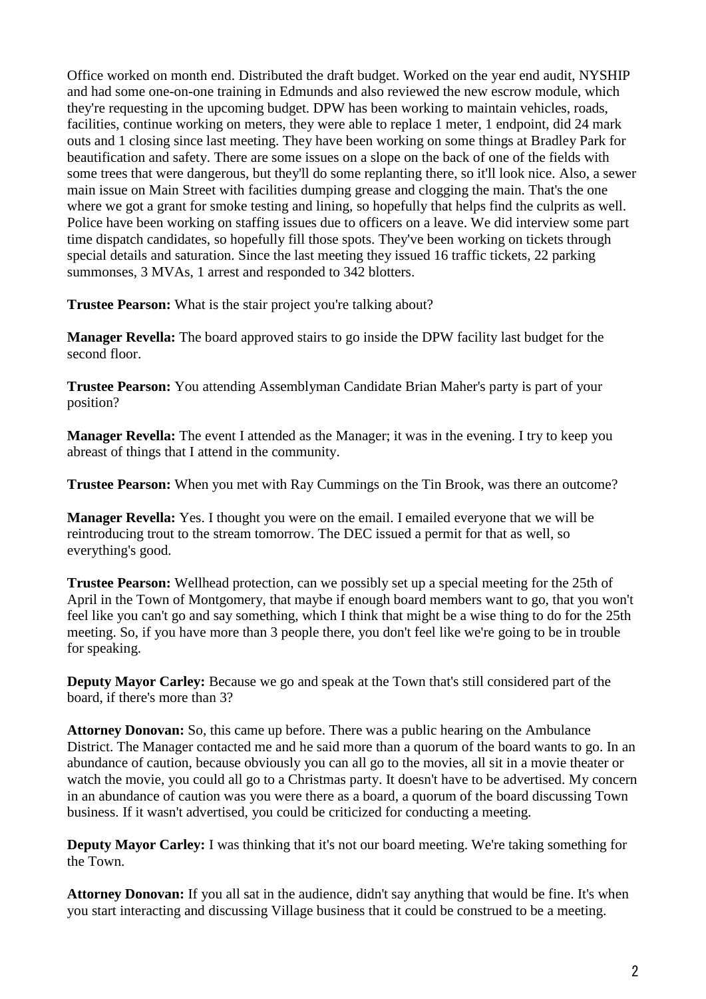Office worked on month end. Distributed the draft budget. Worked on the year end audit, NYSHIP and had some one-on-one training in Edmunds and also reviewed the new escrow module, which they're requesting in the upcoming budget. DPW has been working to maintain vehicles, roads, facilities, continue working on meters, they were able to replace 1 meter, 1 endpoint, did 24 mark outs and 1 closing since last meeting. They have been working on some things at Bradley Park for beautification and safety. There are some issues on a slope on the back of one of the fields with some trees that were dangerous, but they'll do some replanting there, so it'll look nice. Also, a sewer main issue on Main Street with facilities dumping grease and clogging the main. That's the one where we got a grant for smoke testing and lining, so hopefully that helps find the culprits as well. Police have been working on staffing issues due to officers on a leave. We did interview some part time dispatch candidates, so hopefully fill those spots. They've been working on tickets through special details and saturation. Since the last meeting they issued 16 traffic tickets, 22 parking summonses, 3 MVAs, 1 arrest and responded to 342 blotters.

**Trustee Pearson:** What is the stair project you're talking about?

**Manager Revella:** The board approved stairs to go inside the DPW facility last budget for the second floor.

**Trustee Pearson:** You attending Assemblyman Candidate Brian Maher's party is part of your position?

**Manager Revella:** The event I attended as the Manager; it was in the evening. I try to keep you abreast of things that I attend in the community.

**Trustee Pearson:** When you met with Ray Cummings on the Tin Brook, was there an outcome?

**Manager Revella:** Yes. I thought you were on the email. I emailed everyone that we will be reintroducing trout to the stream tomorrow. The DEC issued a permit for that as well, so everything's good.

**Trustee Pearson:** Wellhead protection, can we possibly set up a special meeting for the 25th of April in the Town of Montgomery, that maybe if enough board members want to go, that you won't feel like you can't go and say something, which I think that might be a wise thing to do for the 25th meeting. So, if you have more than 3 people there, you don't feel like we're going to be in trouble for speaking.

**Deputy Mayor Carley:** Because we go and speak at the Town that's still considered part of the board, if there's more than 3?

**Attorney Donovan:** So, this came up before. There was a public hearing on the Ambulance District. The Manager contacted me and he said more than a quorum of the board wants to go. In an abundance of caution, because obviously you can all go to the movies, all sit in a movie theater or watch the movie, you could all go to a Christmas party. It doesn't have to be advertised. My concern in an abundance of caution was you were there as a board, a quorum of the board discussing Town business. If it wasn't advertised, you could be criticized for conducting a meeting.

**Deputy Mayor Carley:** I was thinking that it's not our board meeting. We're taking something for the Town.

**Attorney Donovan:** If you all sat in the audience, didn't say anything that would be fine. It's when you start interacting and discussing Village business that it could be construed to be a meeting.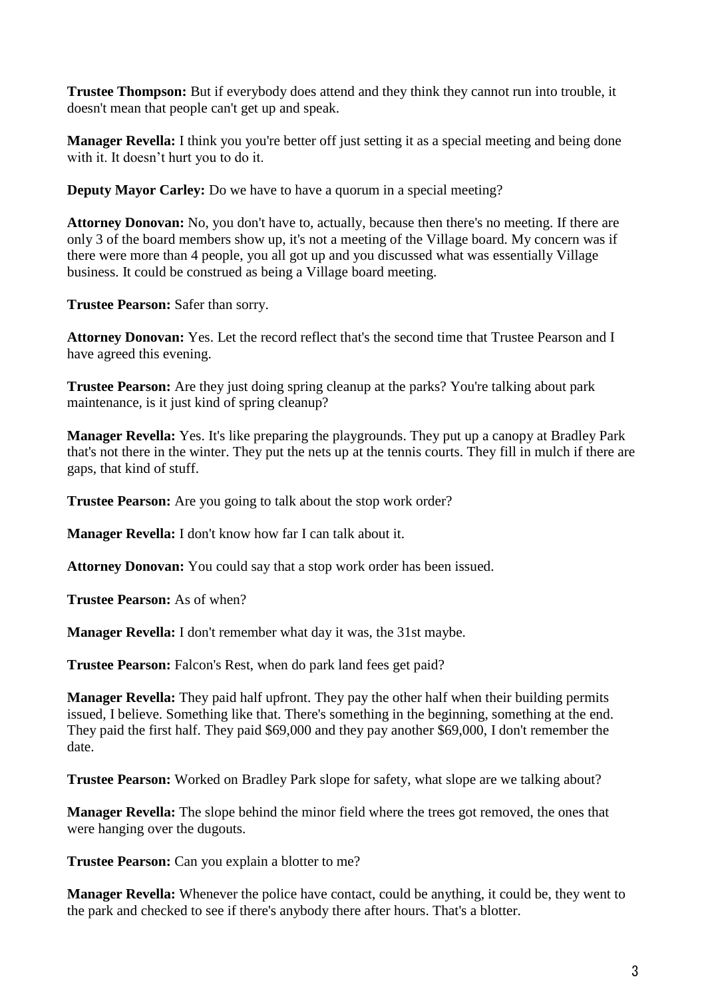**Trustee Thompson:** But if everybody does attend and they think they cannot run into trouble, it doesn't mean that people can't get up and speak.

**Manager Revella:** I think you you're better off just setting it as a special meeting and being done with it. It doesn't hurt you to do it.

**Deputy Mayor Carley:** Do we have to have a quorum in a special meeting?

**Attorney Donovan:** No, you don't have to, actually, because then there's no meeting. If there are only 3 of the board members show up, it's not a meeting of the Village board. My concern was if there were more than 4 people, you all got up and you discussed what was essentially Village business. It could be construed as being a Village board meeting.

**Trustee Pearson:** Safer than sorry.

**Attorney Donovan:** Yes. Let the record reflect that's the second time that Trustee Pearson and I have agreed this evening.

**Trustee Pearson:** Are they just doing spring cleanup at the parks? You're talking about park maintenance, is it just kind of spring cleanup?

**Manager Revella:** Yes. It's like preparing the playgrounds. They put up a canopy at Bradley Park that's not there in the winter. They put the nets up at the tennis courts. They fill in mulch if there are gaps, that kind of stuff.

**Trustee Pearson:** Are you going to talk about the stop work order?

**Manager Revella:** I don't know how far I can talk about it.

**Attorney Donovan:** You could say that a stop work order has been issued.

**Trustee Pearson:** As of when?

**Manager Revella:** I don't remember what day it was, the 31st maybe.

**Trustee Pearson:** Falcon's Rest, when do park land fees get paid?

**Manager Revella:** They paid half upfront. They pay the other half when their building permits issued, I believe. Something like that. There's something in the beginning, something at the end. They paid the first half. They paid \$69,000 and they pay another \$69,000, I don't remember the date.

**Trustee Pearson:** Worked on Bradley Park slope for safety, what slope are we talking about?

**Manager Revella:** The slope behind the minor field where the trees got removed, the ones that were hanging over the dugouts.

Trustee Pearson: Can you explain a blotter to me?

**Manager Revella:** Whenever the police have contact, could be anything, it could be, they went to the park and checked to see if there's anybody there after hours. That's a blotter.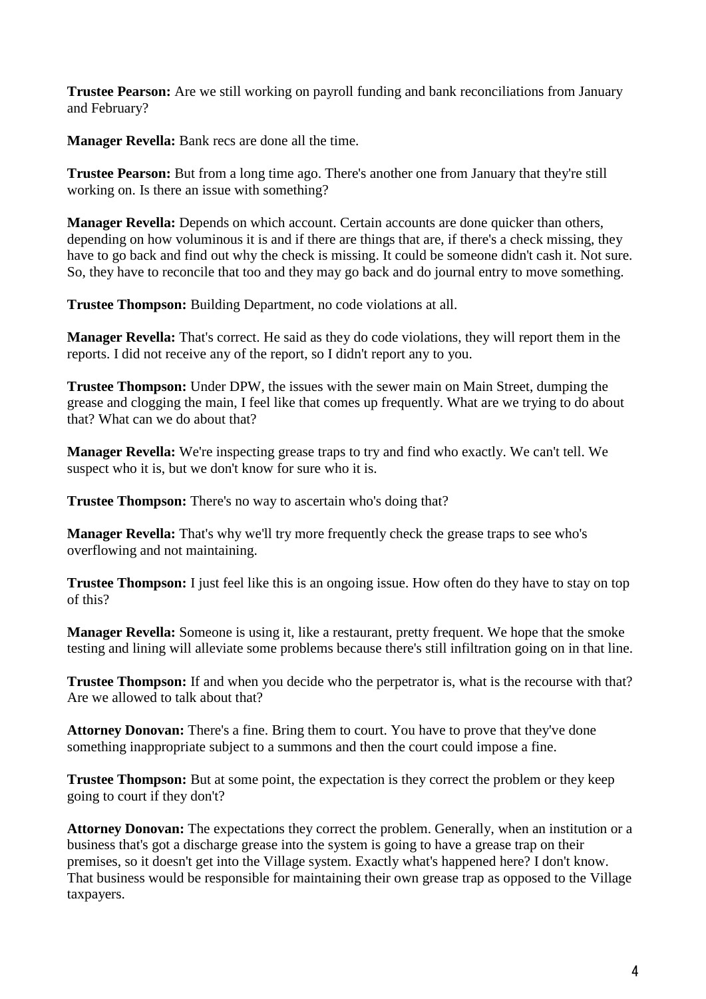**Trustee Pearson:** Are we still working on payroll funding and bank reconciliations from January and February?

**Manager Revella:** Bank recs are done all the time.

**Trustee Pearson:** But from a long time ago. There's another one from January that they're still working on. Is there an issue with something?

**Manager Revella:** Depends on which account. Certain accounts are done quicker than others, depending on how voluminous it is and if there are things that are, if there's a check missing, they have to go back and find out why the check is missing. It could be someone didn't cash it. Not sure. So, they have to reconcile that too and they may go back and do journal entry to move something.

**Trustee Thompson:** Building Department, no code violations at all.

**Manager Revella:** That's correct. He said as they do code violations, they will report them in the reports. I did not receive any of the report, so I didn't report any to you.

**Trustee Thompson:** Under DPW, the issues with the sewer main on Main Street, dumping the grease and clogging the main, I feel like that comes up frequently. What are we trying to do about that? What can we do about that?

**Manager Revella:** We're inspecting grease traps to try and find who exactly. We can't tell. We suspect who it is, but we don't know for sure who it is.

**Trustee Thompson:** There's no way to ascertain who's doing that?

**Manager Revella:** That's why we'll try more frequently check the grease traps to see who's overflowing and not maintaining.

**Trustee Thompson:** I just feel like this is an ongoing issue. How often do they have to stay on top of this?

**Manager Revella:** Someone is using it, like a restaurant, pretty frequent. We hope that the smoke testing and lining will alleviate some problems because there's still infiltration going on in that line.

**Trustee Thompson:** If and when you decide who the perpetrator is, what is the recourse with that? Are we allowed to talk about that?

**Attorney Donovan:** There's a fine. Bring them to court. You have to prove that they've done something inappropriate subject to a summons and then the court could impose a fine.

**Trustee Thompson:** But at some point, the expectation is they correct the problem or they keep going to court if they don't?

**Attorney Donovan:** The expectations they correct the problem. Generally, when an institution or a business that's got a discharge grease into the system is going to have a grease trap on their premises, so it doesn't get into the Village system. Exactly what's happened here? I don't know. That business would be responsible for maintaining their own grease trap as opposed to the Village taxpayers.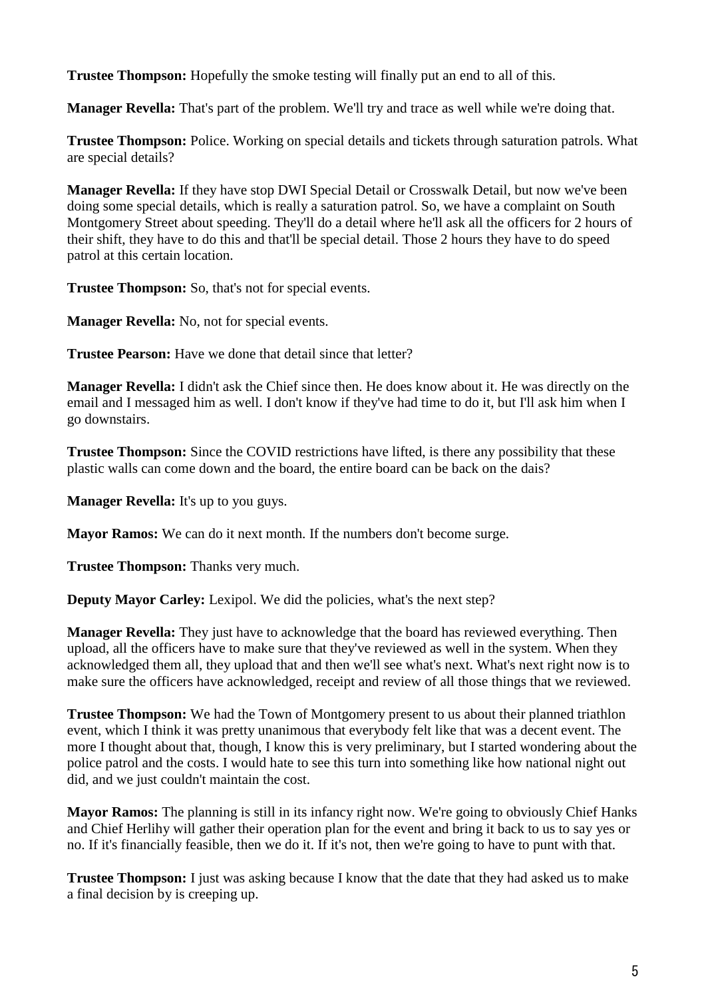**Trustee Thompson:** Hopefully the smoke testing will finally put an end to all of this.

**Manager Revella:** That's part of the problem. We'll try and trace as well while we're doing that.

**Trustee Thompson:** Police. Working on special details and tickets through saturation patrols. What are special details?

**Manager Revella:** If they have stop DWI Special Detail or Crosswalk Detail, but now we've been doing some special details, which is really a saturation patrol. So, we have a complaint on South Montgomery Street about speeding. They'll do a detail where he'll ask all the officers for 2 hours of their shift, they have to do this and that'll be special detail. Those 2 hours they have to do speed patrol at this certain location.

**Trustee Thompson:** So, that's not for special events.

**Manager Revella:** No, not for special events.

**Trustee Pearson:** Have we done that detail since that letter?

**Manager Revella:** I didn't ask the Chief since then. He does know about it. He was directly on the email and I messaged him as well. I don't know if they've had time to do it, but I'll ask him when I go downstairs.

**Trustee Thompson:** Since the COVID restrictions have lifted, is there any possibility that these plastic walls can come down and the board, the entire board can be back on the dais?

**Manager Revella:** It's up to you guys.

**Mayor Ramos:** We can do it next month. If the numbers don't become surge.

**Trustee Thompson:** Thanks very much.

**Deputy Mayor Carley:** Lexipol. We did the policies, what's the next step?

**Manager Revella:** They just have to acknowledge that the board has reviewed everything. Then upload, all the officers have to make sure that they've reviewed as well in the system. When they acknowledged them all, they upload that and then we'll see what's next. What's next right now is to make sure the officers have acknowledged, receipt and review of all those things that we reviewed.

**Trustee Thompson:** We had the Town of Montgomery present to us about their planned triathlon event, which I think it was pretty unanimous that everybody felt like that was a decent event. The more I thought about that, though, I know this is very preliminary, but I started wondering about the police patrol and the costs. I would hate to see this turn into something like how national night out did, and we just couldn't maintain the cost.

**Mayor Ramos:** The planning is still in its infancy right now. We're going to obviously Chief Hanks and Chief Herlihy will gather their operation plan for the event and bring it back to us to say yes or no. If it's financially feasible, then we do it. If it's not, then we're going to have to punt with that.

**Trustee Thompson:** I just was asking because I know that the date that they had asked us to make a final decision by is creeping up.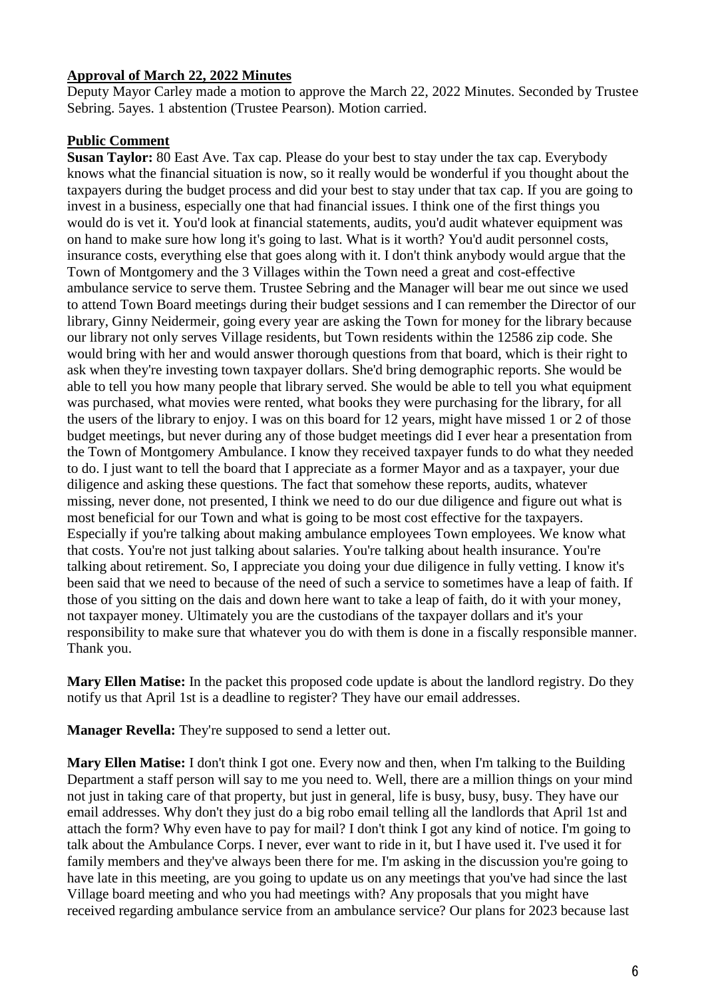## **Approval of March 22, 2022 Minutes**

Deputy Mayor Carley made a motion to approve the March 22, 2022 Minutes. Seconded by Trustee Sebring. 5ayes. 1 abstention (Trustee Pearson). Motion carried.

## **Public Comment**

**Susan Taylor:** 80 East Ave. Tax cap. Please do your best to stay under the tax cap. Everybody knows what the financial situation is now, so it really would be wonderful if you thought about the taxpayers during the budget process and did your best to stay under that tax cap. If you are going to invest in a business, especially one that had financial issues. I think one of the first things you would do is vet it. You'd look at financial statements, audits, you'd audit whatever equipment was on hand to make sure how long it's going to last. What is it worth? You'd audit personnel costs, insurance costs, everything else that goes along with it. I don't think anybody would argue that the Town of Montgomery and the 3 Villages within the Town need a great and cost-effective ambulance service to serve them. Trustee Sebring and the Manager will bear me out since we used to attend Town Board meetings during their budget sessions and I can remember the Director of our library, Ginny Neidermeir, going every year are asking the Town for money for the library because our library not only serves Village residents, but Town residents within the 12586 zip code. She would bring with her and would answer thorough questions from that board, which is their right to ask when they're investing town taxpayer dollars. She'd bring demographic reports. She would be able to tell you how many people that library served. She would be able to tell you what equipment was purchased, what movies were rented, what books they were purchasing for the library, for all the users of the library to enjoy. I was on this board for 12 years, might have missed 1 or 2 of those budget meetings, but never during any of those budget meetings did I ever hear a presentation from the Town of Montgomery Ambulance. I know they received taxpayer funds to do what they needed to do. I just want to tell the board that I appreciate as a former Mayor and as a taxpayer, your due diligence and asking these questions. The fact that somehow these reports, audits, whatever missing, never done, not presented, I think we need to do our due diligence and figure out what is most beneficial for our Town and what is going to be most cost effective for the taxpayers. Especially if you're talking about making ambulance employees Town employees. We know what that costs. You're not just talking about salaries. You're talking about health insurance. You're talking about retirement. So, I appreciate you doing your due diligence in fully vetting. I know it's been said that we need to because of the need of such a service to sometimes have a leap of faith. If those of you sitting on the dais and down here want to take a leap of faith, do it with your money, not taxpayer money. Ultimately you are the custodians of the taxpayer dollars and it's your responsibility to make sure that whatever you do with them is done in a fiscally responsible manner. Thank you.

**Mary Ellen Matise:** In the packet this proposed code update is about the landlord registry. Do they notify us that April 1st is a deadline to register? They have our email addresses.

**Manager Revella:** They're supposed to send a letter out.

**Mary Ellen Matise:** I don't think I got one. Every now and then, when I'm talking to the Building Department a staff person will say to me you need to. Well, there are a million things on your mind not just in taking care of that property, but just in general, life is busy, busy, busy. They have our email addresses. Why don't they just do a big robo email telling all the landlords that April 1st and attach the form? Why even have to pay for mail? I don't think I got any kind of notice. I'm going to talk about the Ambulance Corps. I never, ever want to ride in it, but I have used it. I've used it for family members and they've always been there for me. I'm asking in the discussion you're going to have late in this meeting, are you going to update us on any meetings that you've had since the last Village board meeting and who you had meetings with? Any proposals that you might have received regarding ambulance service from an ambulance service? Our plans for 2023 because last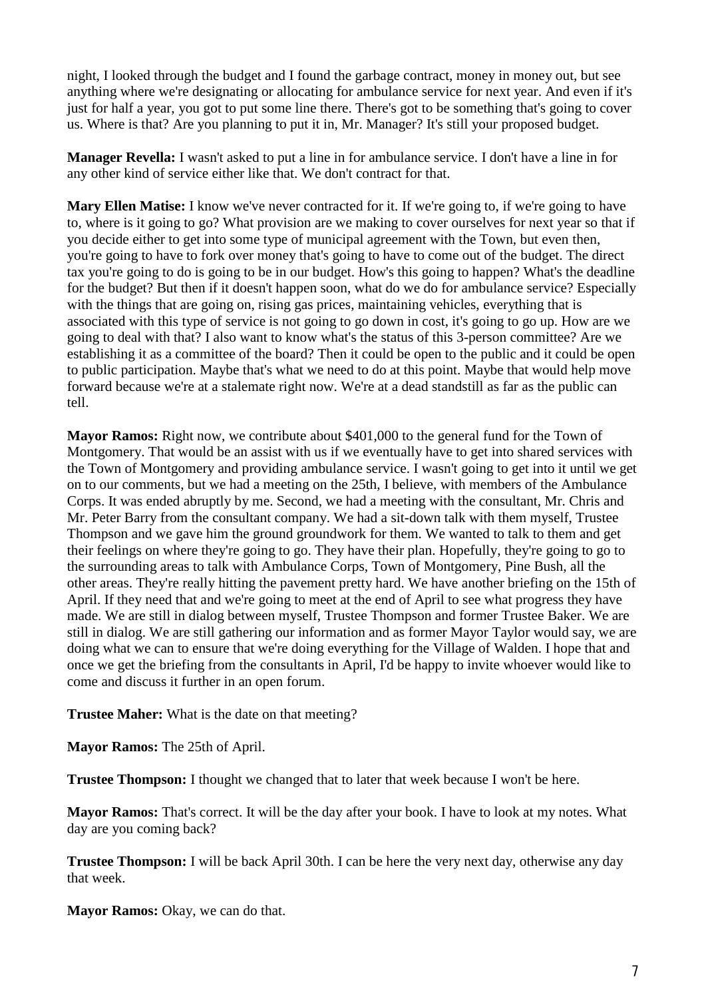night, I looked through the budget and I found the garbage contract, money in money out, but see anything where we're designating or allocating for ambulance service for next year. And even if it's just for half a year, you got to put some line there. There's got to be something that's going to cover us. Where is that? Are you planning to put it in, Mr. Manager? It's still your proposed budget.

**Manager Revella:** I wasn't asked to put a line in for ambulance service. I don't have a line in for any other kind of service either like that. We don't contract for that.

**Mary Ellen Matise:** I know we've never contracted for it. If we're going to, if we're going to have to, where is it going to go? What provision are we making to cover ourselves for next year so that if you decide either to get into some type of municipal agreement with the Town, but even then, you're going to have to fork over money that's going to have to come out of the budget. The direct tax you're going to do is going to be in our budget. How's this going to happen? What's the deadline for the budget? But then if it doesn't happen soon, what do we do for ambulance service? Especially with the things that are going on, rising gas prices, maintaining vehicles, everything that is associated with this type of service is not going to go down in cost, it's going to go up. How are we going to deal with that? I also want to know what's the status of this 3-person committee? Are we establishing it as a committee of the board? Then it could be open to the public and it could be open to public participation. Maybe that's what we need to do at this point. Maybe that would help move forward because we're at a stalemate right now. We're at a dead standstill as far as the public can tell.

**Mayor Ramos:** Right now, we contribute about \$401,000 to the general fund for the Town of Montgomery. That would be an assist with us if we eventually have to get into shared services with the Town of Montgomery and providing ambulance service. I wasn't going to get into it until we get on to our comments, but we had a meeting on the 25th, I believe, with members of the Ambulance Corps. It was ended abruptly by me. Second, we had a meeting with the consultant, Mr. Chris and Mr. Peter Barry from the consultant company. We had a sit-down talk with them myself, Trustee Thompson and we gave him the ground groundwork for them. We wanted to talk to them and get their feelings on where they're going to go. They have their plan. Hopefully, they're going to go to the surrounding areas to talk with Ambulance Corps, Town of Montgomery, Pine Bush, all the other areas. They're really hitting the pavement pretty hard. We have another briefing on the 15th of April. If they need that and we're going to meet at the end of April to see what progress they have made. We are still in dialog between myself, Trustee Thompson and former Trustee Baker. We are still in dialog. We are still gathering our information and as former Mayor Taylor would say, we are doing what we can to ensure that we're doing everything for the Village of Walden. I hope that and once we get the briefing from the consultants in April, I'd be happy to invite whoever would like to come and discuss it further in an open forum.

**Trustee Maher:** What is the date on that meeting?

**Mayor Ramos:** The 25th of April.

**Trustee Thompson:** I thought we changed that to later that week because I won't be here.

**Mayor Ramos:** That's correct. It will be the day after your book. I have to look at my notes. What day are you coming back?

**Trustee Thompson:** I will be back April 30th. I can be here the very next day, otherwise any day that week.

Mayor Ramos: Okay, we can do that.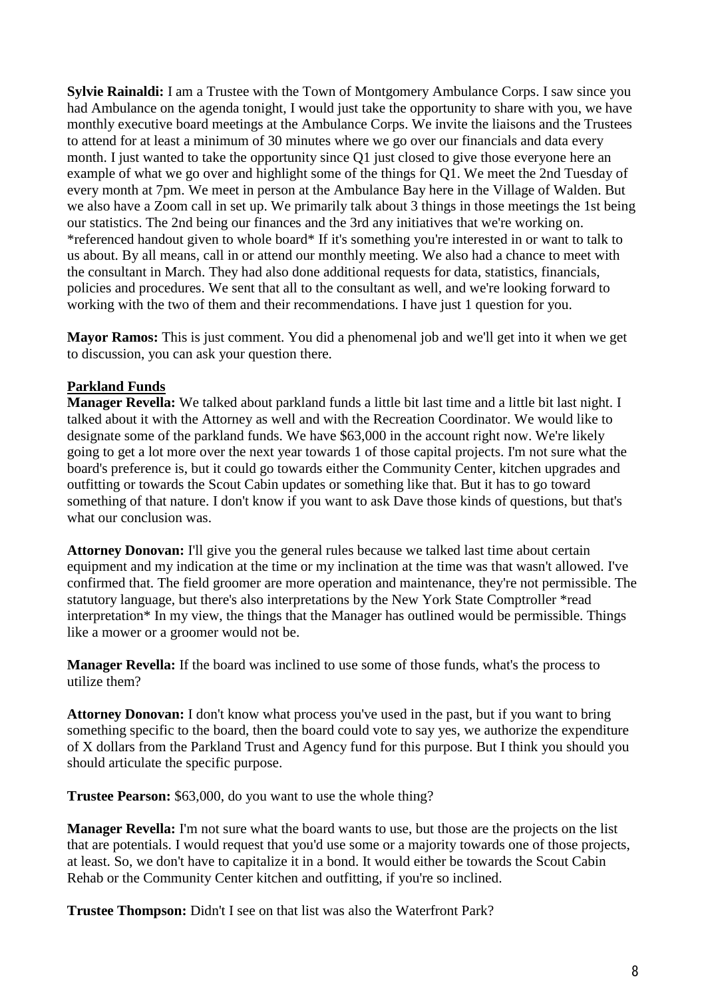**Sylvie Rainaldi:** I am a Trustee with the Town of Montgomery Ambulance Corps. I saw since you had Ambulance on the agenda tonight, I would just take the opportunity to share with you, we have monthly executive board meetings at the Ambulance Corps. We invite the liaisons and the Trustees to attend for at least a minimum of 30 minutes where we go over our financials and data every month. I just wanted to take the opportunity since Q1 just closed to give those everyone here an example of what we go over and highlight some of the things for Q1. We meet the 2nd Tuesday of every month at 7pm. We meet in person at the Ambulance Bay here in the Village of Walden. But we also have a Zoom call in set up. We primarily talk about 3 things in those meetings the 1st being our statistics. The 2nd being our finances and the 3rd any initiatives that we're working on. \*referenced handout given to whole board\* If it's something you're interested in or want to talk to us about. By all means, call in or attend our monthly meeting. We also had a chance to meet with the consultant in March. They had also done additional requests for data, statistics, financials, policies and procedures. We sent that all to the consultant as well, and we're looking forward to working with the two of them and their recommendations. I have just 1 question for you.

**Mayor Ramos:** This is just comment. You did a phenomenal job and we'll get into it when we get to discussion, you can ask your question there.

## **Parkland Funds**

**Manager Revella:** We talked about parkland funds a little bit last time and a little bit last night. I talked about it with the Attorney as well and with the Recreation Coordinator. We would like to designate some of the parkland funds. We have \$63,000 in the account right now. We're likely going to get a lot more over the next year towards 1 of those capital projects. I'm not sure what the board's preference is, but it could go towards either the Community Center, kitchen upgrades and outfitting or towards the Scout Cabin updates or something like that. But it has to go toward something of that nature. I don't know if you want to ask Dave those kinds of questions, but that's what our conclusion was.

**Attorney Donovan:** I'll give you the general rules because we talked last time about certain equipment and my indication at the time or my inclination at the time was that wasn't allowed. I've confirmed that. The field groomer are more operation and maintenance, they're not permissible. The statutory language, but there's also interpretations by the New York State Comptroller \*read interpretation\* In my view, the things that the Manager has outlined would be permissible. Things like a mower or a groomer would not be.

**Manager Revella:** If the board was inclined to use some of those funds, what's the process to utilize them?

**Attorney Donovan:** I don't know what process you've used in the past, but if you want to bring something specific to the board, then the board could vote to say yes, we authorize the expenditure of X dollars from the Parkland Trust and Agency fund for this purpose. But I think you should you should articulate the specific purpose.

**Trustee Pearson:** \$63,000, do you want to use the whole thing?

**Manager Revella:** I'm not sure what the board wants to use, but those are the projects on the list that are potentials. I would request that you'd use some or a majority towards one of those projects, at least. So, we don't have to capitalize it in a bond. It would either be towards the Scout Cabin Rehab or the Community Center kitchen and outfitting, if you're so inclined.

**Trustee Thompson:** Didn't I see on that list was also the Waterfront Park?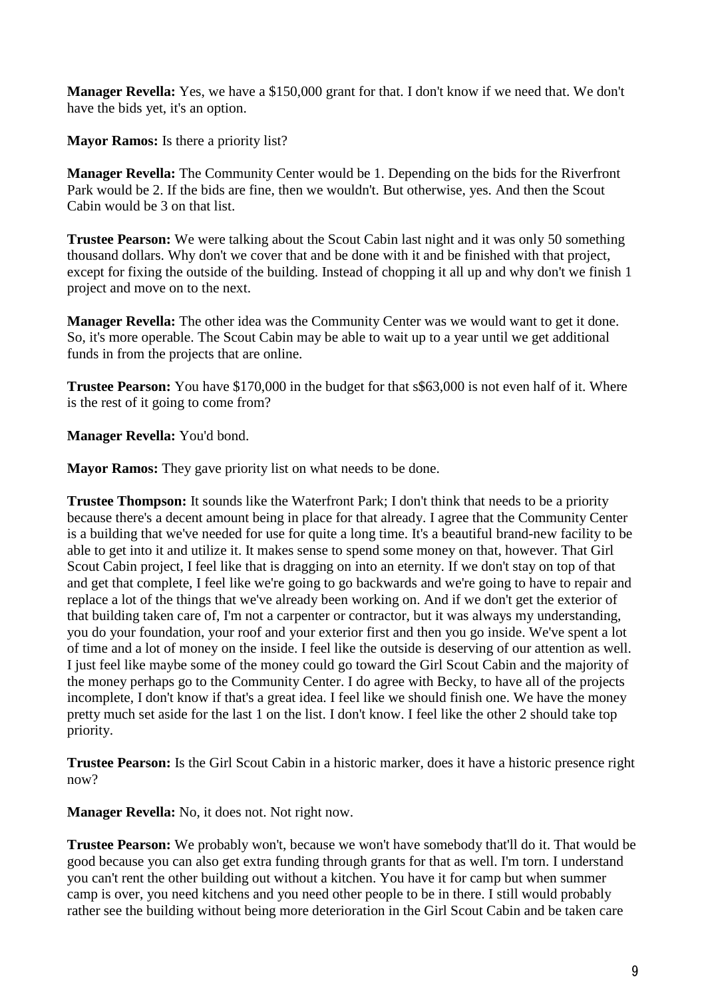**Manager Revella:** Yes, we have a \$150,000 grant for that. I don't know if we need that. We don't have the bids yet, it's an option.

**Mayor Ramos:** Is there a priority list?

**Manager Revella:** The Community Center would be 1. Depending on the bids for the Riverfront Park would be 2. If the bids are fine, then we wouldn't. But otherwise, yes. And then the Scout Cabin would be 3 on that list.

**Trustee Pearson:** We were talking about the Scout Cabin last night and it was only 50 something thousand dollars. Why don't we cover that and be done with it and be finished with that project, except for fixing the outside of the building. Instead of chopping it all up and why don't we finish 1 project and move on to the next.

**Manager Revella:** The other idea was the Community Center was we would want to get it done. So, it's more operable. The Scout Cabin may be able to wait up to a year until we get additional funds in from the projects that are online.

**Trustee Pearson:** You have \$170,000 in the budget for that s\$63,000 is not even half of it. Where is the rest of it going to come from?

**Manager Revella:** You'd bond.

**Mayor Ramos:** They gave priority list on what needs to be done.

**Trustee Thompson:** It sounds like the Waterfront Park; I don't think that needs to be a priority because there's a decent amount being in place for that already. I agree that the Community Center is a building that we've needed for use for quite a long time. It's a beautiful brand-new facility to be able to get into it and utilize it. It makes sense to spend some money on that, however. That Girl Scout Cabin project, I feel like that is dragging on into an eternity. If we don't stay on top of that and get that complete, I feel like we're going to go backwards and we're going to have to repair and replace a lot of the things that we've already been working on. And if we don't get the exterior of that building taken care of, I'm not a carpenter or contractor, but it was always my understanding, you do your foundation, your roof and your exterior first and then you go inside. We've spent a lot of time and a lot of money on the inside. I feel like the outside is deserving of our attention as well. I just feel like maybe some of the money could go toward the Girl Scout Cabin and the majority of the money perhaps go to the Community Center. I do agree with Becky, to have all of the projects incomplete, I don't know if that's a great idea. I feel like we should finish one. We have the money pretty much set aside for the last 1 on the list. I don't know. I feel like the other 2 should take top priority.

**Trustee Pearson:** Is the Girl Scout Cabin in a historic marker, does it have a historic presence right now?

**Manager Revella:** No, it does not. Not right now.

**Trustee Pearson:** We probably won't, because we won't have somebody that'll do it. That would be good because you can also get extra funding through grants for that as well. I'm torn. I understand you can't rent the other building out without a kitchen. You have it for camp but when summer camp is over, you need kitchens and you need other people to be in there. I still would probably rather see the building without being more deterioration in the Girl Scout Cabin and be taken care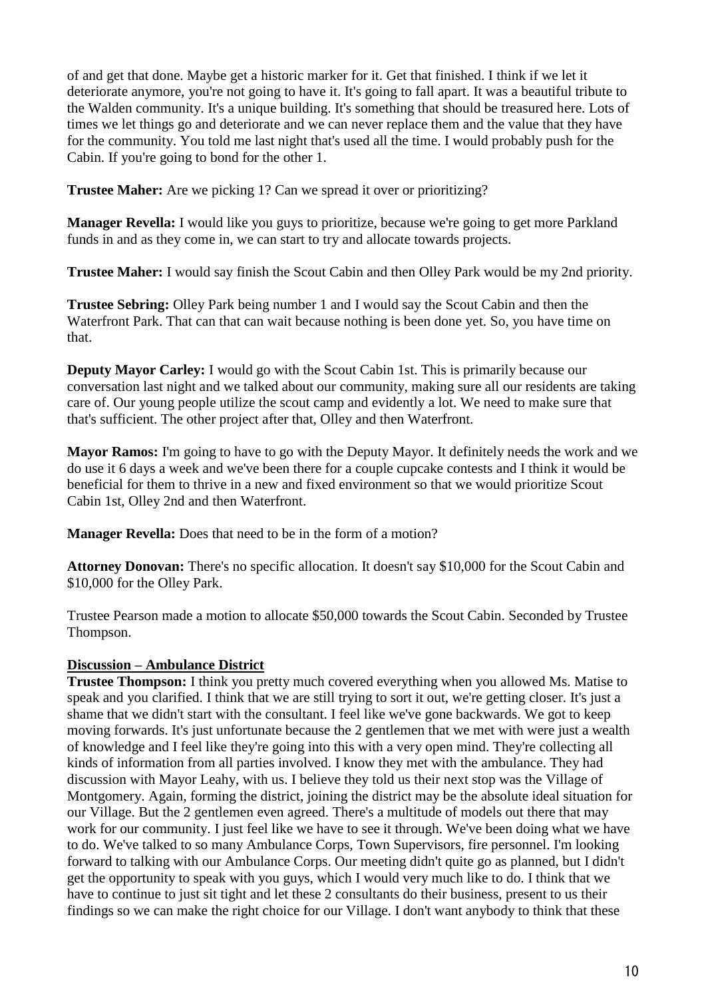of and get that done. Maybe get a historic marker for it. Get that finished. I think if we let it deteriorate anymore, you're not going to have it. It's going to fall apart. It was a beautiful tribute to the Walden community. It's a unique building. It's something that should be treasured here. Lots of times we let things go and deteriorate and we can never replace them and the value that they have for the community. You told me last night that's used all the time. I would probably push for the Cabin. If you're going to bond for the other 1.

**Trustee Maher:** Are we picking 1? Can we spread it over or prioritizing?

**Manager Revella:** I would like you guys to prioritize, because we're going to get more Parkland funds in and as they come in, we can start to try and allocate towards projects.

**Trustee Maher:** I would say finish the Scout Cabin and then Olley Park would be my 2nd priority.

**Trustee Sebring:** Olley Park being number 1 and I would say the Scout Cabin and then the Waterfront Park. That can that can wait because nothing is been done yet. So, you have time on that.

**Deputy Mayor Carley:** I would go with the Scout Cabin 1st. This is primarily because our conversation last night and we talked about our community, making sure all our residents are taking care of. Our young people utilize the scout camp and evidently a lot. We need to make sure that that's sufficient. The other project after that, Olley and then Waterfront.

**Mayor Ramos:** I'm going to have to go with the Deputy Mayor. It definitely needs the work and we do use it 6 days a week and we've been there for a couple cupcake contests and I think it would be beneficial for them to thrive in a new and fixed environment so that we would prioritize Scout Cabin 1st, Olley 2nd and then Waterfront.

**Manager Revella:** Does that need to be in the form of a motion?

**Attorney Donovan:** There's no specific allocation. It doesn't say \$10,000 for the Scout Cabin and \$10,000 for the Olley Park.

Trustee Pearson made a motion to allocate \$50,000 towards the Scout Cabin. Seconded by Trustee Thompson.

# **Discussion – Ambulance District**

**Trustee Thompson:** I think you pretty much covered everything when you allowed Ms. Matise to speak and you clarified. I think that we are still trying to sort it out, we're getting closer. It's just a shame that we didn't start with the consultant. I feel like we've gone backwards. We got to keep moving forwards. It's just unfortunate because the 2 gentlemen that we met with were just a wealth of knowledge and I feel like they're going into this with a very open mind. They're collecting all kinds of information from all parties involved. I know they met with the ambulance. They had discussion with Mayor Leahy, with us. I believe they told us their next stop was the Village of Montgomery. Again, forming the district, joining the district may be the absolute ideal situation for our Village. But the 2 gentlemen even agreed. There's a multitude of models out there that may work for our community. I just feel like we have to see it through. We've been doing what we have to do. We've talked to so many Ambulance Corps, Town Supervisors, fire personnel. I'm looking forward to talking with our Ambulance Corps. Our meeting didn't quite go as planned, but I didn't get the opportunity to speak with you guys, which I would very much like to do. I think that we have to continue to just sit tight and let these 2 consultants do their business, present to us their findings so we can make the right choice for our Village. I don't want anybody to think that these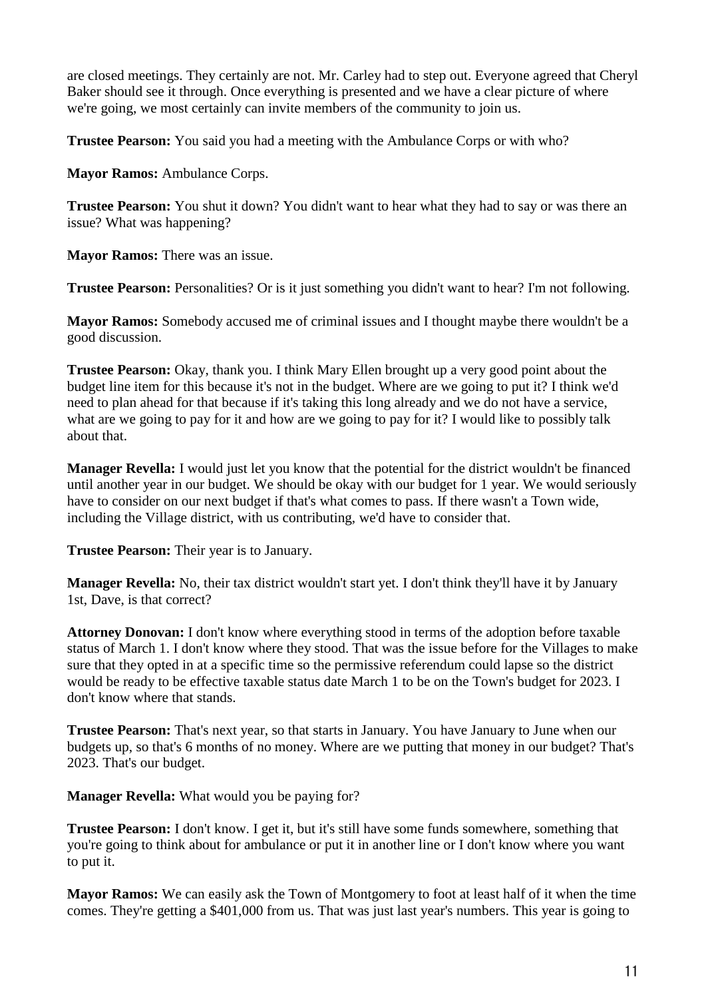are closed meetings. They certainly are not. Mr. Carley had to step out. Everyone agreed that Cheryl Baker should see it through. Once everything is presented and we have a clear picture of where we're going, we most certainly can invite members of the community to join us.

**Trustee Pearson:** You said you had a meeting with the Ambulance Corps or with who?

**Mayor Ramos:** Ambulance Corps.

**Trustee Pearson:** You shut it down? You didn't want to hear what they had to say or was there an issue? What was happening?

**Mayor Ramos:** There was an issue.

**Trustee Pearson:** Personalities? Or is it just something you didn't want to hear? I'm not following.

**Mayor Ramos:** Somebody accused me of criminal issues and I thought maybe there wouldn't be a good discussion.

**Trustee Pearson:** Okay, thank you. I think Mary Ellen brought up a very good point about the budget line item for this because it's not in the budget. Where are we going to put it? I think we'd need to plan ahead for that because if it's taking this long already and we do not have a service, what are we going to pay for it and how are we going to pay for it? I would like to possibly talk about that.

**Manager Revella:** I would just let you know that the potential for the district wouldn't be financed until another year in our budget. We should be okay with our budget for 1 year. We would seriously have to consider on our next budget if that's what comes to pass. If there wasn't a Town wide, including the Village district, with us contributing, we'd have to consider that.

**Trustee Pearson:** Their year is to January.

**Manager Revella:** No, their tax district wouldn't start yet. I don't think they'll have it by January 1st, Dave, is that correct?

**Attorney Donovan:** I don't know where everything stood in terms of the adoption before taxable status of March 1. I don't know where they stood. That was the issue before for the Villages to make sure that they opted in at a specific time so the permissive referendum could lapse so the district would be ready to be effective taxable status date March 1 to be on the Town's budget for 2023. I don't know where that stands.

**Trustee Pearson:** That's next year, so that starts in January. You have January to June when our budgets up, so that's 6 months of no money. Where are we putting that money in our budget? That's 2023. That's our budget.

**Manager Revella:** What would you be paying for?

**Trustee Pearson:** I don't know. I get it, but it's still have some funds somewhere, something that you're going to think about for ambulance or put it in another line or I don't know where you want to put it.

**Mayor Ramos:** We can easily ask the Town of Montgomery to foot at least half of it when the time comes. They're getting a \$401,000 from us. That was just last year's numbers. This year is going to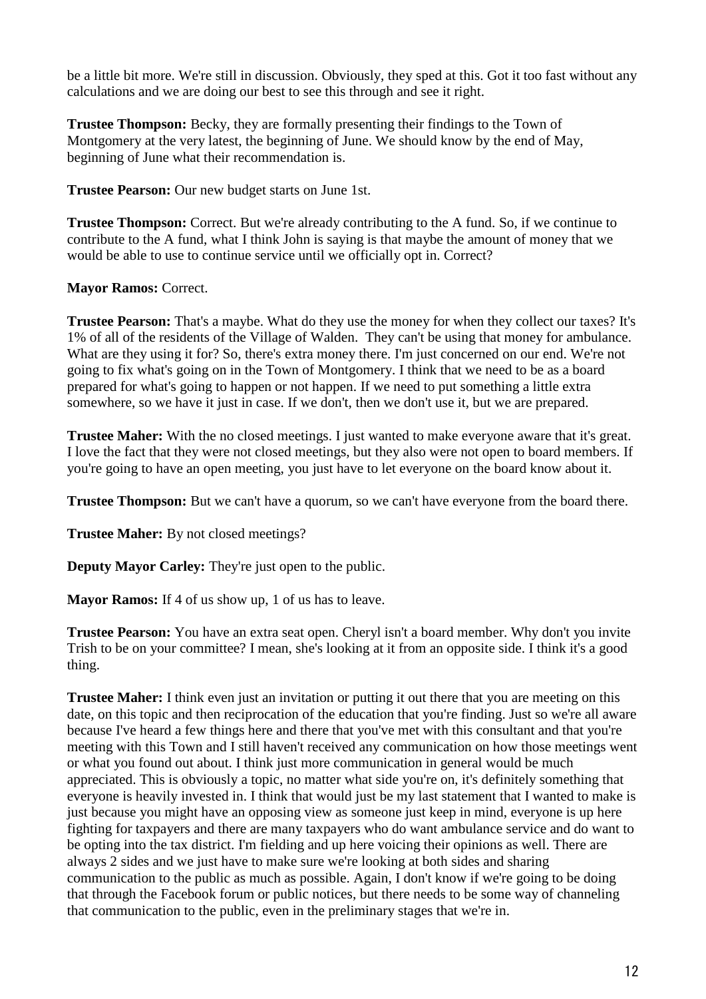be a little bit more. We're still in discussion. Obviously, they sped at this. Got it too fast without any calculations and we are doing our best to see this through and see it right.

**Trustee Thompson:** Becky, they are formally presenting their findings to the Town of Montgomery at the very latest, the beginning of June. We should know by the end of May, beginning of June what their recommendation is.

**Trustee Pearson:** Our new budget starts on June 1st.

**Trustee Thompson:** Correct. But we're already contributing to the A fund. So, if we continue to contribute to the A fund, what I think John is saying is that maybe the amount of money that we would be able to use to continue service until we officially opt in. Correct?

## **Mayor Ramos:** Correct.

**Trustee Pearson:** That's a maybe. What do they use the money for when they collect our taxes? It's 1% of all of the residents of the Village of Walden. They can't be using that money for ambulance. What are they using it for? So, there's extra money there. I'm just concerned on our end. We're not going to fix what's going on in the Town of Montgomery. I think that we need to be as a board prepared for what's going to happen or not happen. If we need to put something a little extra somewhere, so we have it just in case. If we don't, then we don't use it, but we are prepared.

**Trustee Maher:** With the no closed meetings. I just wanted to make everyone aware that it's great. I love the fact that they were not closed meetings, but they also were not open to board members. If you're going to have an open meeting, you just have to let everyone on the board know about it.

**Trustee Thompson:** But we can't have a quorum, so we can't have everyone from the board there.

**Trustee Maher:** By not closed meetings?

**Deputy Mayor Carley:** They're just open to the public.

**Mayor Ramos:** If 4 of us show up, 1 of us has to leave.

**Trustee Pearson:** You have an extra seat open. Cheryl isn't a board member. Why don't you invite Trish to be on your committee? I mean, she's looking at it from an opposite side. I think it's a good thing.

**Trustee Maher:** I think even just an invitation or putting it out there that you are meeting on this date, on this topic and then reciprocation of the education that you're finding. Just so we're all aware because I've heard a few things here and there that you've met with this consultant and that you're meeting with this Town and I still haven't received any communication on how those meetings went or what you found out about. I think just more communication in general would be much appreciated. This is obviously a topic, no matter what side you're on, it's definitely something that everyone is heavily invested in. I think that would just be my last statement that I wanted to make is just because you might have an opposing view as someone just keep in mind, everyone is up here fighting for taxpayers and there are many taxpayers who do want ambulance service and do want to be opting into the tax district. I'm fielding and up here voicing their opinions as well. There are always 2 sides and we just have to make sure we're looking at both sides and sharing communication to the public as much as possible. Again, I don't know if we're going to be doing that through the Facebook forum or public notices, but there needs to be some way of channeling that communication to the public, even in the preliminary stages that we're in.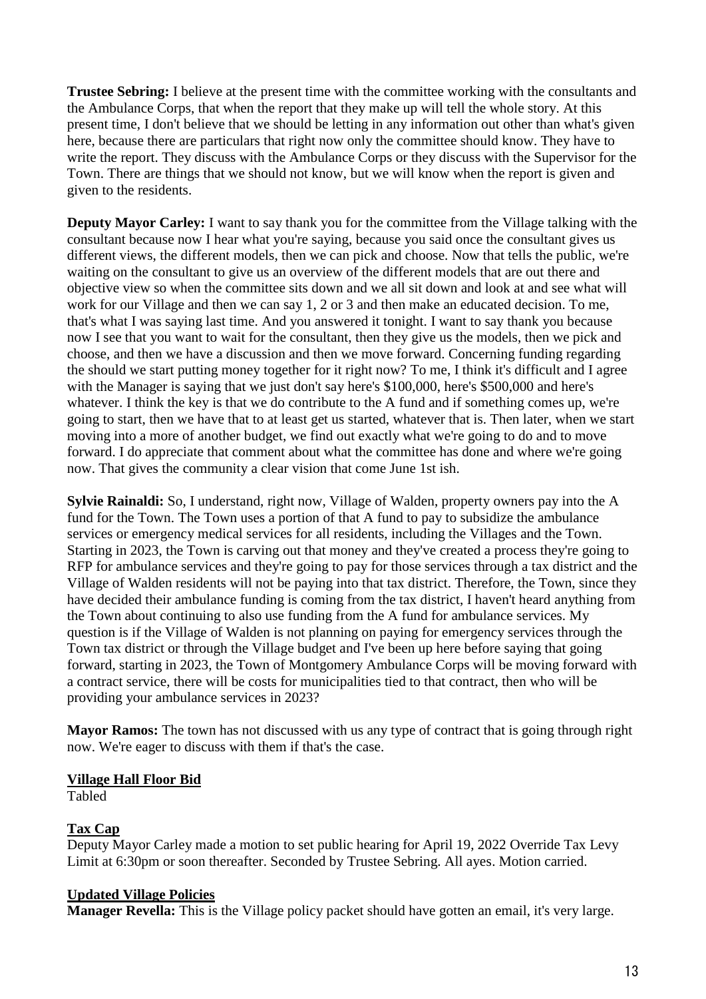**Trustee Sebring:** I believe at the present time with the committee working with the consultants and the Ambulance Corps, that when the report that they make up will tell the whole story. At this present time, I don't believe that we should be letting in any information out other than what's given here, because there are particulars that right now only the committee should know. They have to write the report. They discuss with the Ambulance Corps or they discuss with the Supervisor for the Town. There are things that we should not know, but we will know when the report is given and given to the residents.

**Deputy Mayor Carley:** I want to say thank you for the committee from the Village talking with the consultant because now I hear what you're saying, because you said once the consultant gives us different views, the different models, then we can pick and choose. Now that tells the public, we're waiting on the consultant to give us an overview of the different models that are out there and objective view so when the committee sits down and we all sit down and look at and see what will work for our Village and then we can say 1, 2 or 3 and then make an educated decision. To me, that's what I was saying last time. And you answered it tonight. I want to say thank you because now I see that you want to wait for the consultant, then they give us the models, then we pick and choose, and then we have a discussion and then we move forward. Concerning funding regarding the should we start putting money together for it right now? To me, I think it's difficult and I agree with the Manager is saying that we just don't say here's \$100,000, here's \$500,000 and here's whatever. I think the key is that we do contribute to the A fund and if something comes up, we're going to start, then we have that to at least get us started, whatever that is. Then later, when we start moving into a more of another budget, we find out exactly what we're going to do and to move forward. I do appreciate that comment about what the committee has done and where we're going now. That gives the community a clear vision that come June 1st ish.

**Sylvie Rainaldi:** So, I understand, right now, Village of Walden, property owners pay into the A fund for the Town. The Town uses a portion of that A fund to pay to subsidize the ambulance services or emergency medical services for all residents, including the Villages and the Town. Starting in 2023, the Town is carving out that money and they've created a process they're going to RFP for ambulance services and they're going to pay for those services through a tax district and the Village of Walden residents will not be paying into that tax district. Therefore, the Town, since they have decided their ambulance funding is coming from the tax district, I haven't heard anything from the Town about continuing to also use funding from the A fund for ambulance services. My question is if the Village of Walden is not planning on paying for emergency services through the Town tax district or through the Village budget and I've been up here before saying that going forward, starting in 2023, the Town of Montgomery Ambulance Corps will be moving forward with a contract service, there will be costs for municipalities tied to that contract, then who will be providing your ambulance services in 2023?

**Mayor Ramos:** The town has not discussed with us any type of contract that is going through right now. We're eager to discuss with them if that's the case.

## **Village Hall Floor Bid**

Tabled

# **Tax Cap**

Deputy Mayor Carley made a motion to set public hearing for April 19, 2022 Override Tax Levy Limit at 6:30pm or soon thereafter. Seconded by Trustee Sebring. All ayes. Motion carried.

## **Updated Village Policies**

**Manager Revella:** This is the Village policy packet should have gotten an email, it's very large.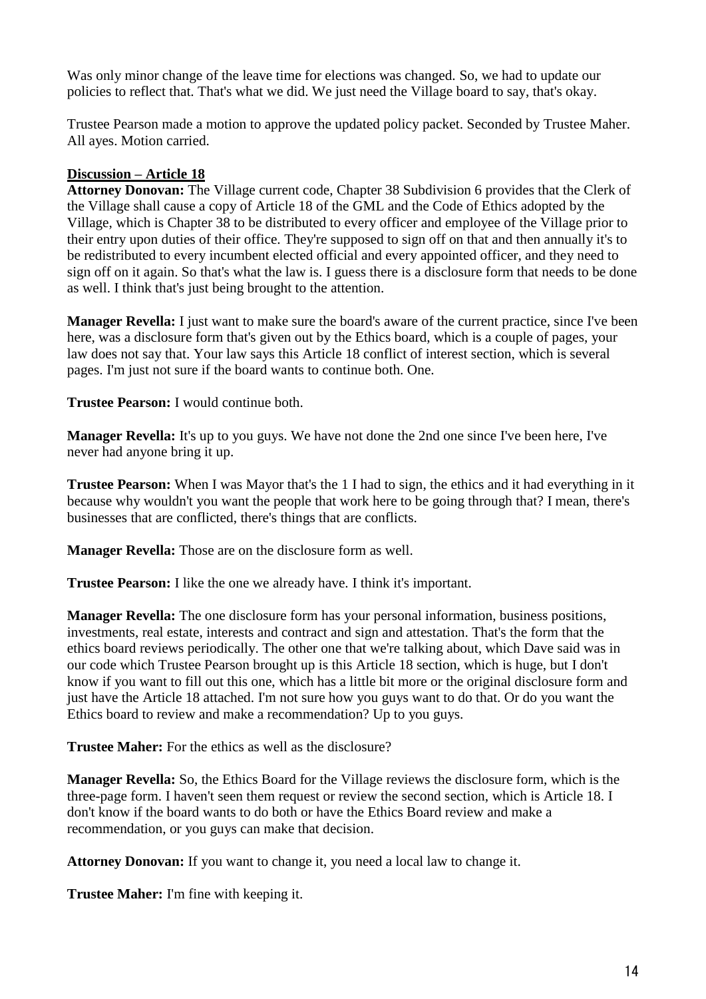Was only minor change of the leave time for elections was changed. So, we had to update our policies to reflect that. That's what we did. We just need the Village board to say, that's okay.

Trustee Pearson made a motion to approve the updated policy packet. Seconded by Trustee Maher. All ayes. Motion carried.

## **Discussion – Article 18**

**Attorney Donovan:** The Village current code, Chapter 38 Subdivision 6 provides that the Clerk of the Village shall cause a copy of Article 18 of the GML and the Code of Ethics adopted by the Village, which is Chapter 38 to be distributed to every officer and employee of the Village prior to their entry upon duties of their office. They're supposed to sign off on that and then annually it's to be redistributed to every incumbent elected official and every appointed officer, and they need to sign off on it again. So that's what the law is. I guess there is a disclosure form that needs to be done as well. I think that's just being brought to the attention.

**Manager Revella:** I just want to make sure the board's aware of the current practice, since I've been here, was a disclosure form that's given out by the Ethics board, which is a couple of pages, your law does not say that. Your law says this Article 18 conflict of interest section, which is several pages. I'm just not sure if the board wants to continue both. One.

**Trustee Pearson:** I would continue both.

**Manager Revella:** It's up to you guys. We have not done the 2nd one since I've been here, I've never had anyone bring it up.

**Trustee Pearson:** When I was Mayor that's the 1 I had to sign, the ethics and it had everything in it because why wouldn't you want the people that work here to be going through that? I mean, there's businesses that are conflicted, there's things that are conflicts.

**Manager Revella:** Those are on the disclosure form as well.

**Trustee Pearson:** I like the one we already have. I think it's important.

**Manager Revella:** The one disclosure form has your personal information, business positions, investments, real estate, interests and contract and sign and attestation. That's the form that the ethics board reviews periodically. The other one that we're talking about, which Dave said was in our code which Trustee Pearson brought up is this Article 18 section, which is huge, but I don't know if you want to fill out this one, which has a little bit more or the original disclosure form and just have the Article 18 attached. I'm not sure how you guys want to do that. Or do you want the Ethics board to review and make a recommendation? Up to you guys.

**Trustee Maher:** For the ethics as well as the disclosure?

**Manager Revella:** So, the Ethics Board for the Village reviews the disclosure form, which is the three-page form. I haven't seen them request or review the second section, which is Article 18. I don't know if the board wants to do both or have the Ethics Board review and make a recommendation, or you guys can make that decision.

**Attorney Donovan:** If you want to change it, you need a local law to change it.

**Trustee Maher:** I'm fine with keeping it.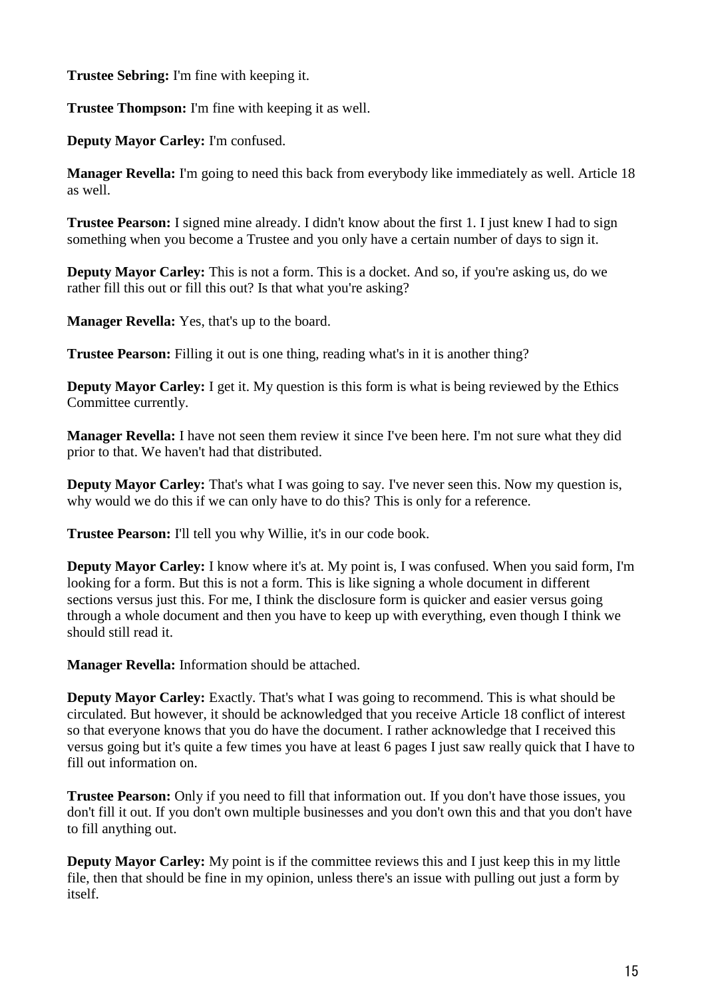**Trustee Sebring:** I'm fine with keeping it.

**Trustee Thompson:** I'm fine with keeping it as well.

**Deputy Mayor Carley:** I'm confused.

**Manager Revella:** I'm going to need this back from everybody like immediately as well. Article 18 as well.

**Trustee Pearson:** I signed mine already. I didn't know about the first 1. I just knew I had to sign something when you become a Trustee and you only have a certain number of days to sign it.

**Deputy Mayor Carley:** This is not a form. This is a docket. And so, if you're asking us, do we rather fill this out or fill this out? Is that what you're asking?

**Manager Revella:** Yes, that's up to the board.

**Trustee Pearson:** Filling it out is one thing, reading what's in it is another thing?

**Deputy Mayor Carley:** I get it. My question is this form is what is being reviewed by the Ethics Committee currently.

**Manager Revella:** I have not seen them review it since I've been here. I'm not sure what they did prior to that. We haven't had that distributed.

**Deputy Mayor Carley:** That's what I was going to say. I've never seen this. Now my question is, why would we do this if we can only have to do this? This is only for a reference.

**Trustee Pearson:** I'll tell you why Willie, it's in our code book.

**Deputy Mayor Carley:** I know where it's at. My point is, I was confused. When you said form, I'm looking for a form. But this is not a form. This is like signing a whole document in different sections versus just this. For me, I think the disclosure form is quicker and easier versus going through a whole document and then you have to keep up with everything, even though I think we should still read it.

**Manager Revella:** Information should be attached.

**Deputy Mayor Carley:** Exactly. That's what I was going to recommend. This is what should be circulated. But however, it should be acknowledged that you receive Article 18 conflict of interest so that everyone knows that you do have the document. I rather acknowledge that I received this versus going but it's quite a few times you have at least 6 pages I just saw really quick that I have to fill out information on.

**Trustee Pearson:** Only if you need to fill that information out. If you don't have those issues, you don't fill it out. If you don't own multiple businesses and you don't own this and that you don't have to fill anything out.

**Deputy Mayor Carley:** My point is if the committee reviews this and I just keep this in my little file, then that should be fine in my opinion, unless there's an issue with pulling out just a form by itself.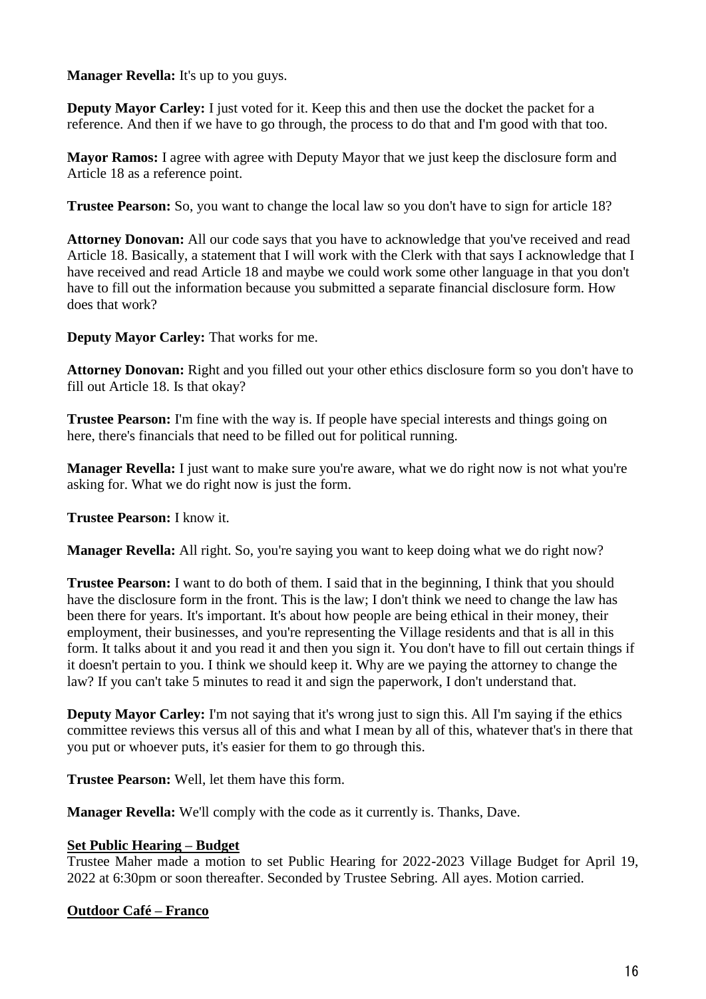**Manager Revella:** It's up to you guys.

**Deputy Mayor Carley:** I just voted for it. Keep this and then use the docket the packet for a reference. And then if we have to go through, the process to do that and I'm good with that too.

**Mayor Ramos:** I agree with agree with Deputy Mayor that we just keep the disclosure form and Article 18 as a reference point.

**Trustee Pearson:** So, you want to change the local law so you don't have to sign for article 18?

**Attorney Donovan:** All our code says that you have to acknowledge that you've received and read Article 18. Basically, a statement that I will work with the Clerk with that says I acknowledge that I have received and read Article 18 and maybe we could work some other language in that you don't have to fill out the information because you submitted a separate financial disclosure form. How does that work?

**Deputy Mayor Carley:** That works for me.

**Attorney Donovan:** Right and you filled out your other ethics disclosure form so you don't have to fill out Article 18. Is that okay?

**Trustee Pearson:** I'm fine with the way is. If people have special interests and things going on here, there's financials that need to be filled out for political running.

**Manager Revella:** I just want to make sure you're aware, what we do right now is not what you're asking for. What we do right now is just the form.

**Trustee Pearson:** I know it.

**Manager Revella:** All right. So, you're saying you want to keep doing what we do right now?

**Trustee Pearson:** I want to do both of them. I said that in the beginning, I think that you should have the disclosure form in the front. This is the law; I don't think we need to change the law has been there for years. It's important. It's about how people are being ethical in their money, their employment, their businesses, and you're representing the Village residents and that is all in this form. It talks about it and you read it and then you sign it. You don't have to fill out certain things if it doesn't pertain to you. I think we should keep it. Why are we paying the attorney to change the law? If you can't take 5 minutes to read it and sign the paperwork, I don't understand that.

**Deputy Mayor Carley:** I'm not saying that it's wrong just to sign this. All I'm saying if the ethics committee reviews this versus all of this and what I mean by all of this, whatever that's in there that you put or whoever puts, it's easier for them to go through this.

**Trustee Pearson:** Well, let them have this form.

**Manager Revella:** We'll comply with the code as it currently is. Thanks, Dave.

## **Set Public Hearing – Budget**

Trustee Maher made a motion to set Public Hearing for 2022-2023 Village Budget for April 19, 2022 at 6:30pm or soon thereafter. Seconded by Trustee Sebring. All ayes. Motion carried.

## **Outdoor Café – Franco**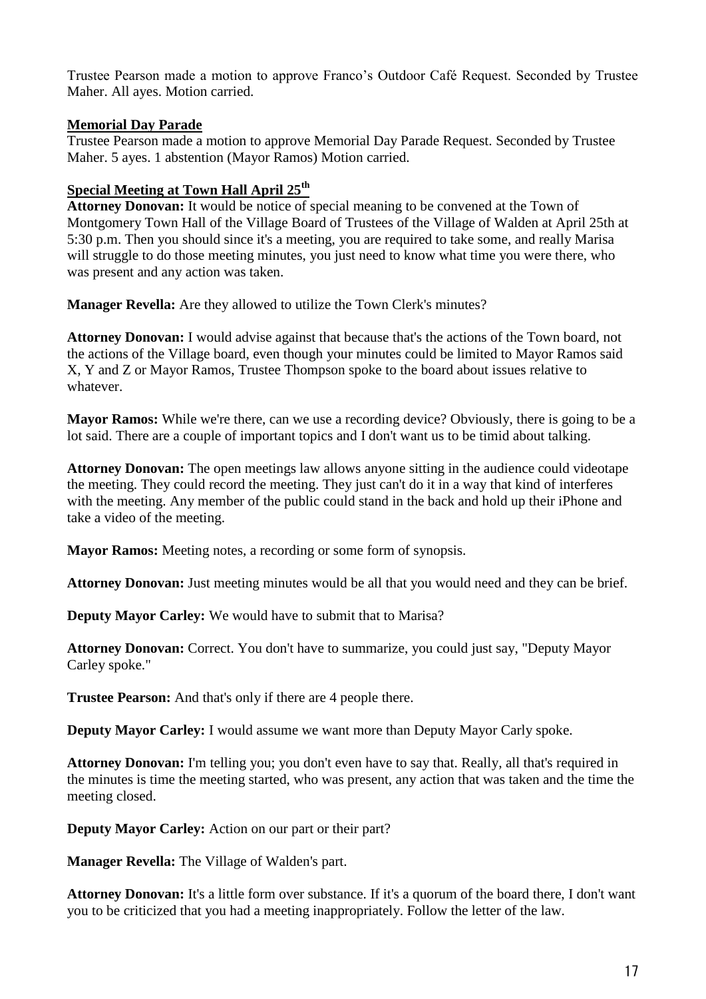Trustee Pearson made a motion to approve Franco's Outdoor Café Request. Seconded by Trustee Maher. All ayes. Motion carried.

## **Memorial Day Parade**

Trustee Pearson made a motion to approve Memorial Day Parade Request. Seconded by Trustee Maher. 5 ayes. 1 abstention (Mayor Ramos) Motion carried.

# **Special Meeting at Town Hall April 25th**

**Attorney Donovan:** It would be notice of special meaning to be convened at the Town of Montgomery Town Hall of the Village Board of Trustees of the Village of Walden at April 25th at 5:30 p.m. Then you should since it's a meeting, you are required to take some, and really Marisa will struggle to do those meeting minutes, you just need to know what time you were there, who was present and any action was taken.

**Manager Revella:** Are they allowed to utilize the Town Clerk's minutes?

**Attorney Donovan:** I would advise against that because that's the actions of the Town board, not the actions of the Village board, even though your minutes could be limited to Mayor Ramos said X, Y and Z or Mayor Ramos, Trustee Thompson spoke to the board about issues relative to whatever.

**Mayor Ramos:** While we're there, can we use a recording device? Obviously, there is going to be a lot said. There are a couple of important topics and I don't want us to be timid about talking.

**Attorney Donovan:** The open meetings law allows anyone sitting in the audience could videotape the meeting. They could record the meeting. They just can't do it in a way that kind of interferes with the meeting. Any member of the public could stand in the back and hold up their iPhone and take a video of the meeting.

**Mayor Ramos:** Meeting notes, a recording or some form of synopsis.

**Attorney Donovan:** Just meeting minutes would be all that you would need and they can be brief.

**Deputy Mayor Carley:** We would have to submit that to Marisa?

**Attorney Donovan:** Correct. You don't have to summarize, you could just say, "Deputy Mayor Carley spoke."

**Trustee Pearson:** And that's only if there are 4 people there.

**Deputy Mayor Carley:** I would assume we want more than Deputy Mayor Carly spoke.

**Attorney Donovan:** I'm telling you; you don't even have to say that. Really, all that's required in the minutes is time the meeting started, who was present, any action that was taken and the time the meeting closed.

**Deputy Mayor Carley:** Action on our part or their part?

**Manager Revella:** The Village of Walden's part.

**Attorney Donovan:** It's a little form over substance. If it's a quorum of the board there, I don't want you to be criticized that you had a meeting inappropriately. Follow the letter of the law.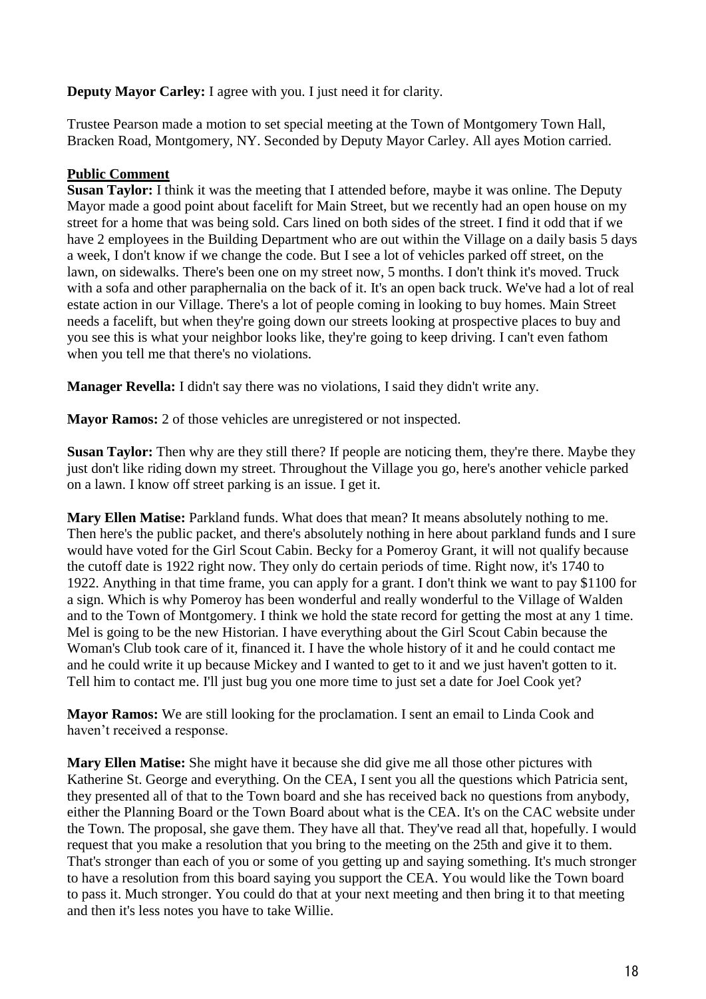## **Deputy Mayor Carley:** I agree with you. I just need it for clarity.

Trustee Pearson made a motion to set special meeting at the Town of Montgomery Town Hall, Bracken Road, Montgomery, NY. Seconded by Deputy Mayor Carley. All ayes Motion carried.

## **Public Comment**

**Susan Taylor:** I think it was the meeting that I attended before, maybe it was online. The Deputy Mayor made a good point about facelift for Main Street, but we recently had an open house on my street for a home that was being sold. Cars lined on both sides of the street. I find it odd that if we have 2 employees in the Building Department who are out within the Village on a daily basis 5 days a week, I don't know if we change the code. But I see a lot of vehicles parked off street, on the lawn, on sidewalks. There's been one on my street now, 5 months. I don't think it's moved. Truck with a sofa and other paraphernalia on the back of it. It's an open back truck. We've had a lot of real estate action in our Village. There's a lot of people coming in looking to buy homes. Main Street needs a facelift, but when they're going down our streets looking at prospective places to buy and you see this is what your neighbor looks like, they're going to keep driving. I can't even fathom when you tell me that there's no violations.

**Manager Revella:** I didn't say there was no violations, I said they didn't write any.

**Mayor Ramos:** 2 of those vehicles are unregistered or not inspected.

**Susan Taylor:** Then why are they still there? If people are noticing them, they're there. Maybe they just don't like riding down my street. Throughout the Village you go, here's another vehicle parked on a lawn. I know off street parking is an issue. I get it.

**Mary Ellen Matise:** Parkland funds. What does that mean? It means absolutely nothing to me. Then here's the public packet, and there's absolutely nothing in here about parkland funds and I sure would have voted for the Girl Scout Cabin. Becky for a Pomeroy Grant, it will not qualify because the cutoff date is 1922 right now. They only do certain periods of time. Right now, it's 1740 to 1922. Anything in that time frame, you can apply for a grant. I don't think we want to pay \$1100 for a sign. Which is why Pomeroy has been wonderful and really wonderful to the Village of Walden and to the Town of Montgomery. I think we hold the state record for getting the most at any 1 time. Mel is going to be the new Historian. I have everything about the Girl Scout Cabin because the Woman's Club took care of it, financed it. I have the whole history of it and he could contact me and he could write it up because Mickey and I wanted to get to it and we just haven't gotten to it. Tell him to contact me. I'll just bug you one more time to just set a date for Joel Cook yet?

**Mayor Ramos:** We are still looking for the proclamation. I sent an email to Linda Cook and haven't received a response.

**Mary Ellen Matise:** She might have it because she did give me all those other pictures with Katherine St. George and everything. On the CEA, I sent you all the questions which Patricia sent, they presented all of that to the Town board and she has received back no questions from anybody, either the Planning Board or the Town Board about what is the CEA. It's on the CAC website under the Town. The proposal, she gave them. They have all that. They've read all that, hopefully. I would request that you make a resolution that you bring to the meeting on the 25th and give it to them. That's stronger than each of you or some of you getting up and saying something. It's much stronger to have a resolution from this board saying you support the CEA. You would like the Town board to pass it. Much stronger. You could do that at your next meeting and then bring it to that meeting and then it's less notes you have to take Willie.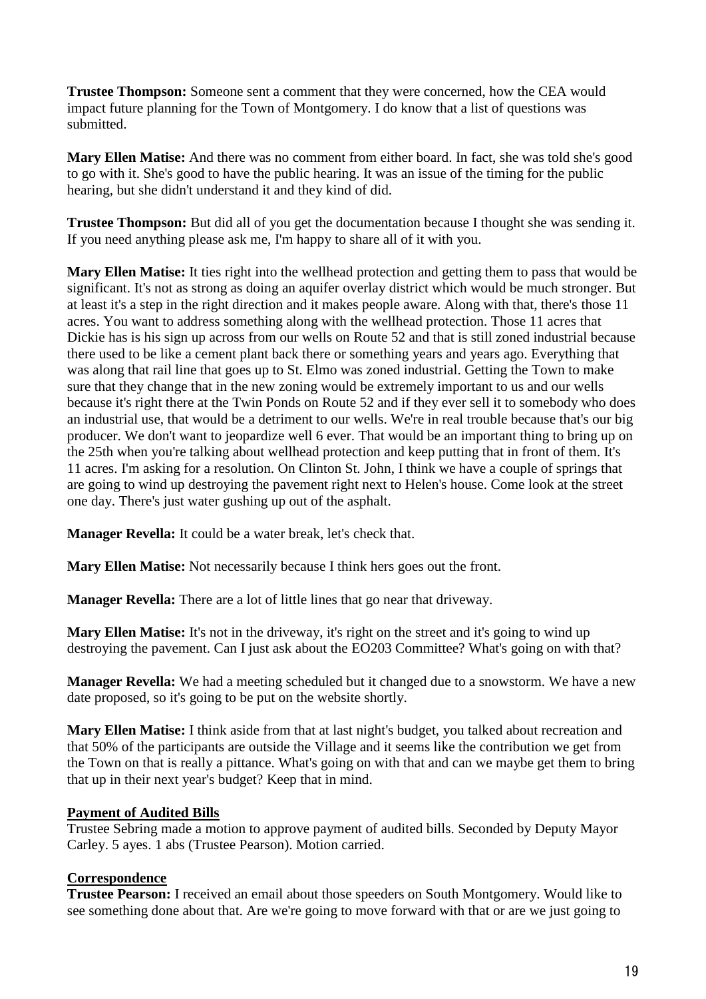**Trustee Thompson:** Someone sent a comment that they were concerned, how the CEA would impact future planning for the Town of Montgomery. I do know that a list of questions was submitted.

**Mary Ellen Matise:** And there was no comment from either board. In fact, she was told she's good to go with it. She's good to have the public hearing. It was an issue of the timing for the public hearing, but she didn't understand it and they kind of did.

**Trustee Thompson:** But did all of you get the documentation because I thought she was sending it. If you need anything please ask me, I'm happy to share all of it with you.

**Mary Ellen Matise:** It ties right into the wellhead protection and getting them to pass that would be significant. It's not as strong as doing an aquifer overlay district which would be much stronger. But at least it's a step in the right direction and it makes people aware. Along with that, there's those 11 acres. You want to address something along with the wellhead protection. Those 11 acres that Dickie has is his sign up across from our wells on Route 52 and that is still zoned industrial because there used to be like a cement plant back there or something years and years ago. Everything that was along that rail line that goes up to St. Elmo was zoned industrial. Getting the Town to make sure that they change that in the new zoning would be extremely important to us and our wells because it's right there at the Twin Ponds on Route 52 and if they ever sell it to somebody who does an industrial use, that would be a detriment to our wells. We're in real trouble because that's our big producer. We don't want to jeopardize well 6 ever. That would be an important thing to bring up on the 25th when you're talking about wellhead protection and keep putting that in front of them. It's 11 acres. I'm asking for a resolution. On Clinton St. John, I think we have a couple of springs that are going to wind up destroying the pavement right next to Helen's house. Come look at the street one day. There's just water gushing up out of the asphalt.

**Manager Revella:** It could be a water break, let's check that.

**Mary Ellen Matise:** Not necessarily because I think hers goes out the front.

**Manager Revella:** There are a lot of little lines that go near that driveway.

**Mary Ellen Matise:** It's not in the driveway, it's right on the street and it's going to wind up destroying the pavement. Can I just ask about the EO203 Committee? What's going on with that?

**Manager Revella:** We had a meeting scheduled but it changed due to a snowstorm. We have a new date proposed, so it's going to be put on the website shortly.

**Mary Ellen Matise:** I think aside from that at last night's budget, you talked about recreation and that 50% of the participants are outside the Village and it seems like the contribution we get from the Town on that is really a pittance. What's going on with that and can we maybe get them to bring that up in their next year's budget? Keep that in mind.

## **Payment of Audited Bills**

Trustee Sebring made a motion to approve payment of audited bills. Seconded by Deputy Mayor Carley. 5 ayes. 1 abs (Trustee Pearson). Motion carried.

## **Correspondence**

**Trustee Pearson:** I received an email about those speeders on South Montgomery. Would like to see something done about that. Are we're going to move forward with that or are we just going to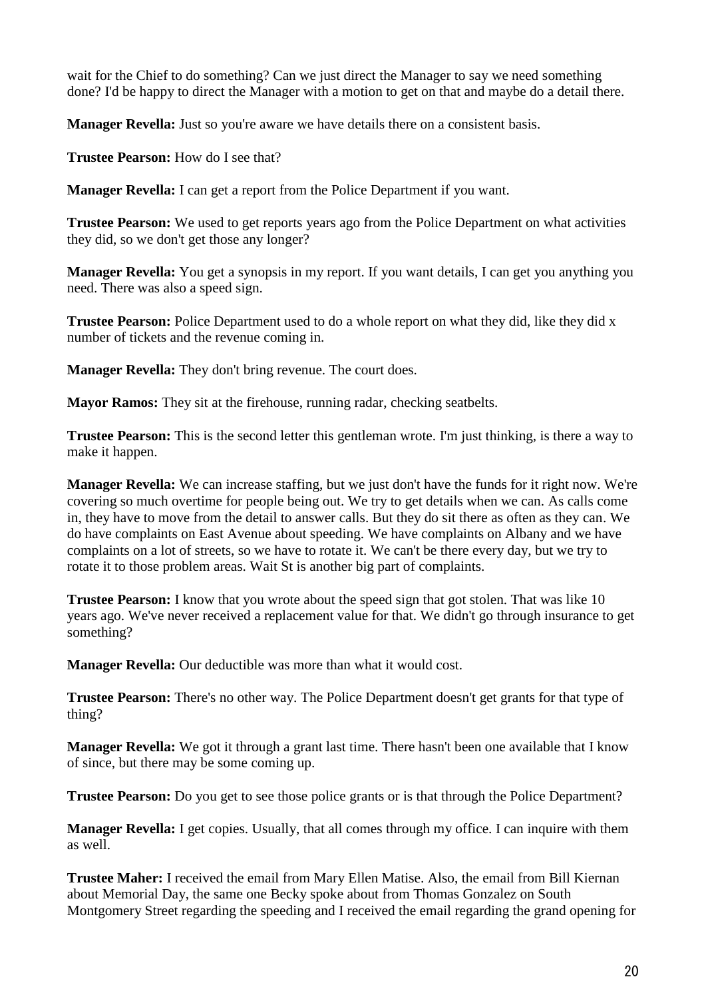wait for the Chief to do something? Can we just direct the Manager to say we need something done? I'd be happy to direct the Manager with a motion to get on that and maybe do a detail there.

**Manager Revella:** Just so you're aware we have details there on a consistent basis.

**Trustee Pearson:** How do I see that?

**Manager Revella:** I can get a report from the Police Department if you want.

**Trustee Pearson:** We used to get reports years ago from the Police Department on what activities they did, so we don't get those any longer?

**Manager Revella:** You get a synopsis in my report. If you want details, I can get you anything you need. There was also a speed sign.

**Trustee Pearson:** Police Department used to do a whole report on what they did, like they did x number of tickets and the revenue coming in.

**Manager Revella:** They don't bring revenue. The court does.

**Mayor Ramos:** They sit at the firehouse, running radar, checking seatbelts.

**Trustee Pearson:** This is the second letter this gentleman wrote. I'm just thinking, is there a way to make it happen.

**Manager Revella:** We can increase staffing, but we just don't have the funds for it right now. We're covering so much overtime for people being out. We try to get details when we can. As calls come in, they have to move from the detail to answer calls. But they do sit there as often as they can. We do have complaints on East Avenue about speeding. We have complaints on Albany and we have complaints on a lot of streets, so we have to rotate it. We can't be there every day, but we try to rotate it to those problem areas. Wait St is another big part of complaints.

**Trustee Pearson:** I know that you wrote about the speed sign that got stolen. That was like 10 years ago. We've never received a replacement value for that. We didn't go through insurance to get something?

**Manager Revella:** Our deductible was more than what it would cost.

**Trustee Pearson:** There's no other way. The Police Department doesn't get grants for that type of thing?

**Manager Revella:** We got it through a grant last time. There hasn't been one available that I know of since, but there may be some coming up.

**Trustee Pearson:** Do you get to see those police grants or is that through the Police Department?

**Manager Revella:** I get copies. Usually, that all comes through my office. I can inquire with them as well.

**Trustee Maher:** I received the email from Mary Ellen Matise. Also, the email from Bill Kiernan about Memorial Day, the same one Becky spoke about from Thomas Gonzalez on South Montgomery Street regarding the speeding and I received the email regarding the grand opening for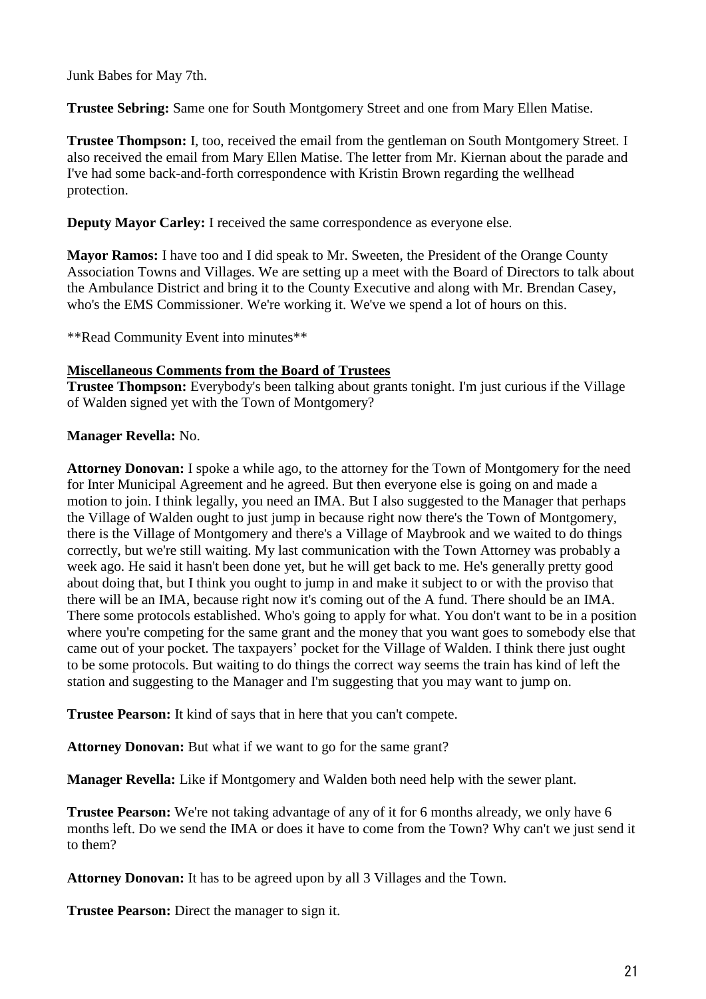Junk Babes for May 7th.

**Trustee Sebring:** Same one for South Montgomery Street and one from Mary Ellen Matise.

**Trustee Thompson:** I, too, received the email from the gentleman on South Montgomery Street. I also received the email from Mary Ellen Matise. The letter from Mr. Kiernan about the parade and I've had some back-and-forth correspondence with Kristin Brown regarding the wellhead protection.

**Deputy Mayor Carley:** I received the same correspondence as everyone else.

**Mayor Ramos:** I have too and I did speak to Mr. Sweeten, the President of the Orange County Association Towns and Villages. We are setting up a meet with the Board of Directors to talk about the Ambulance District and bring it to the County Executive and along with Mr. Brendan Casey, who's the EMS Commissioner. We're working it. We've we spend a lot of hours on this.

\*\*Read Community Event into minutes\*\*

## **Miscellaneous Comments from the Board of Trustees**

**Trustee Thompson:** Everybody's been talking about grants tonight. I'm just curious if the Village of Walden signed yet with the Town of Montgomery?

## **Manager Revella:** No.

**Attorney Donovan:** I spoke a while ago, to the attorney for the Town of Montgomery for the need for Inter Municipal Agreement and he agreed. But then everyone else is going on and made a motion to join. I think legally, you need an IMA. But I also suggested to the Manager that perhaps the Village of Walden ought to just jump in because right now there's the Town of Montgomery, there is the Village of Montgomery and there's a Village of Maybrook and we waited to do things correctly, but we're still waiting. My last communication with the Town Attorney was probably a week ago. He said it hasn't been done yet, but he will get back to me. He's generally pretty good about doing that, but I think you ought to jump in and make it subject to or with the proviso that there will be an IMA, because right now it's coming out of the A fund. There should be an IMA. There some protocols established. Who's going to apply for what. You don't want to be in a position where you're competing for the same grant and the money that you want goes to somebody else that came out of your pocket. The taxpayers' pocket for the Village of Walden. I think there just ought to be some protocols. But waiting to do things the correct way seems the train has kind of left the station and suggesting to the Manager and I'm suggesting that you may want to jump on.

**Trustee Pearson:** It kind of says that in here that you can't compete.

**Attorney Donovan:** But what if we want to go for the same grant?

**Manager Revella:** Like if Montgomery and Walden both need help with the sewer plant.

**Trustee Pearson:** We're not taking advantage of any of it for 6 months already, we only have 6 months left. Do we send the IMA or does it have to come from the Town? Why can't we just send it to them?

**Attorney Donovan:** It has to be agreed upon by all 3 Villages and the Town.

**Trustee Pearson:** Direct the manager to sign it.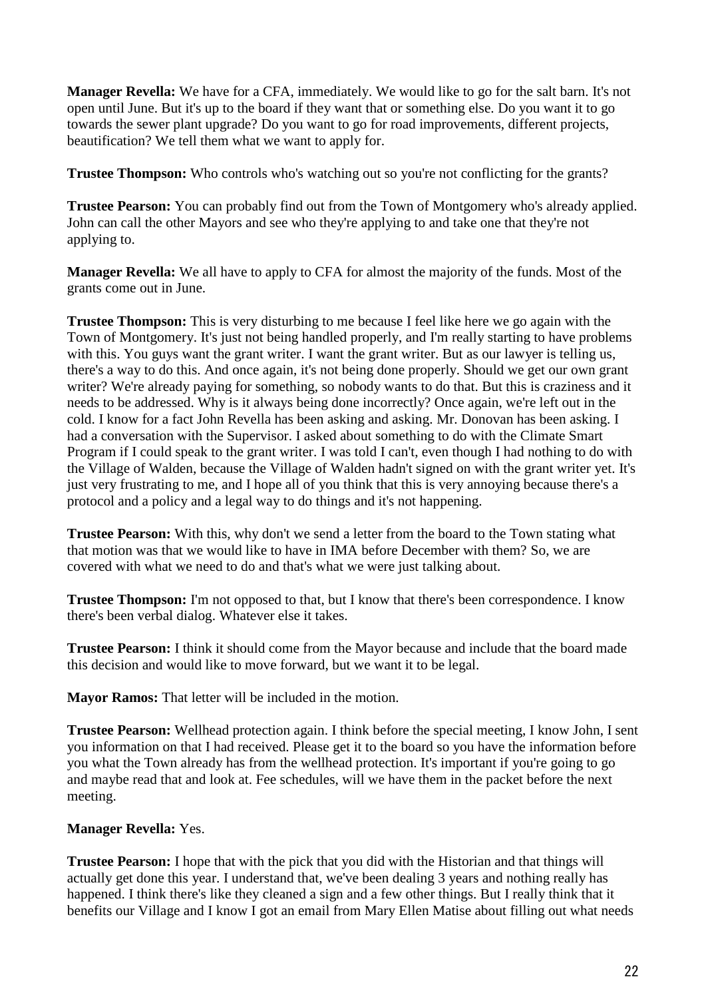**Manager Revella:** We have for a CFA, immediately. We would like to go for the salt barn. It's not open until June. But it's up to the board if they want that or something else. Do you want it to go towards the sewer plant upgrade? Do you want to go for road improvements, different projects, beautification? We tell them what we want to apply for.

**Trustee Thompson:** Who controls who's watching out so you're not conflicting for the grants?

**Trustee Pearson:** You can probably find out from the Town of Montgomery who's already applied. John can call the other Mayors and see who they're applying to and take one that they're not applying to.

**Manager Revella:** We all have to apply to CFA for almost the majority of the funds. Most of the grants come out in June.

**Trustee Thompson:** This is very disturbing to me because I feel like here we go again with the Town of Montgomery. It's just not being handled properly, and I'm really starting to have problems with this. You guys want the grant writer. I want the grant writer. But as our lawyer is telling us, there's a way to do this. And once again, it's not being done properly. Should we get our own grant writer? We're already paying for something, so nobody wants to do that. But this is craziness and it needs to be addressed. Why is it always being done incorrectly? Once again, we're left out in the cold. I know for a fact John Revella has been asking and asking. Mr. Donovan has been asking. I had a conversation with the Supervisor. I asked about something to do with the Climate Smart Program if I could speak to the grant writer. I was told I can't, even though I had nothing to do with the Village of Walden, because the Village of Walden hadn't signed on with the grant writer yet. It's just very frustrating to me, and I hope all of you think that this is very annoying because there's a protocol and a policy and a legal way to do things and it's not happening.

**Trustee Pearson:** With this, why don't we send a letter from the board to the Town stating what that motion was that we would like to have in IMA before December with them? So, we are covered with what we need to do and that's what we were just talking about.

**Trustee Thompson:** I'm not opposed to that, but I know that there's been correspondence. I know there's been verbal dialog. Whatever else it takes.

**Trustee Pearson:** I think it should come from the Mayor because and include that the board made this decision and would like to move forward, but we want it to be legal.

**Mayor Ramos:** That letter will be included in the motion.

**Trustee Pearson:** Wellhead protection again. I think before the special meeting, I know John, I sent you information on that I had received. Please get it to the board so you have the information before you what the Town already has from the wellhead protection. It's important if you're going to go and maybe read that and look at. Fee schedules, will we have them in the packet before the next meeting.

## **Manager Revella:** Yes.

**Trustee Pearson:** I hope that with the pick that you did with the Historian and that things will actually get done this year. I understand that, we've been dealing 3 years and nothing really has happened. I think there's like they cleaned a sign and a few other things. But I really think that it benefits our Village and I know I got an email from Mary Ellen Matise about filling out what needs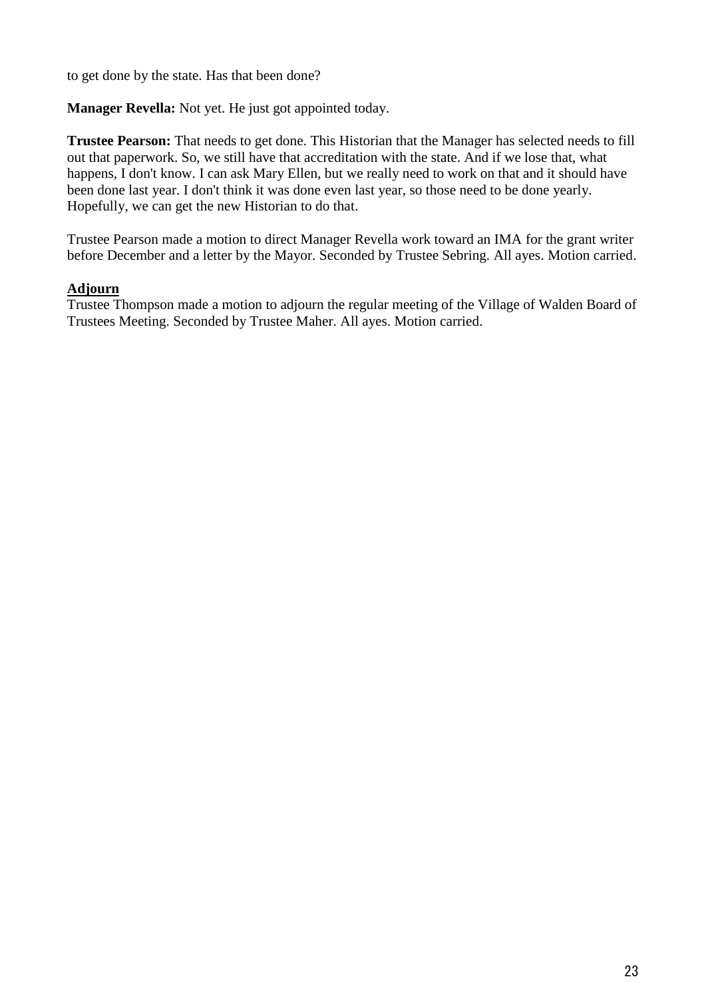to get done by the state. Has that been done?

**Manager Revella:** Not yet. He just got appointed today.

**Trustee Pearson:** That needs to get done. This Historian that the Manager has selected needs to fill out that paperwork. So, we still have that accreditation with the state. And if we lose that, what happens, I don't know. I can ask Mary Ellen, but we really need to work on that and it should have been done last year. I don't think it was done even last year, so those need to be done yearly. Hopefully, we can get the new Historian to do that.

Trustee Pearson made a motion to direct Manager Revella work toward an IMA for the grant writer before December and a letter by the Mayor. Seconded by Trustee Sebring. All ayes. Motion carried.

## **Adjourn**

Trustee Thompson made a motion to adjourn the regular meeting of the Village of Walden Board of Trustees Meeting. Seconded by Trustee Maher. All ayes. Motion carried.